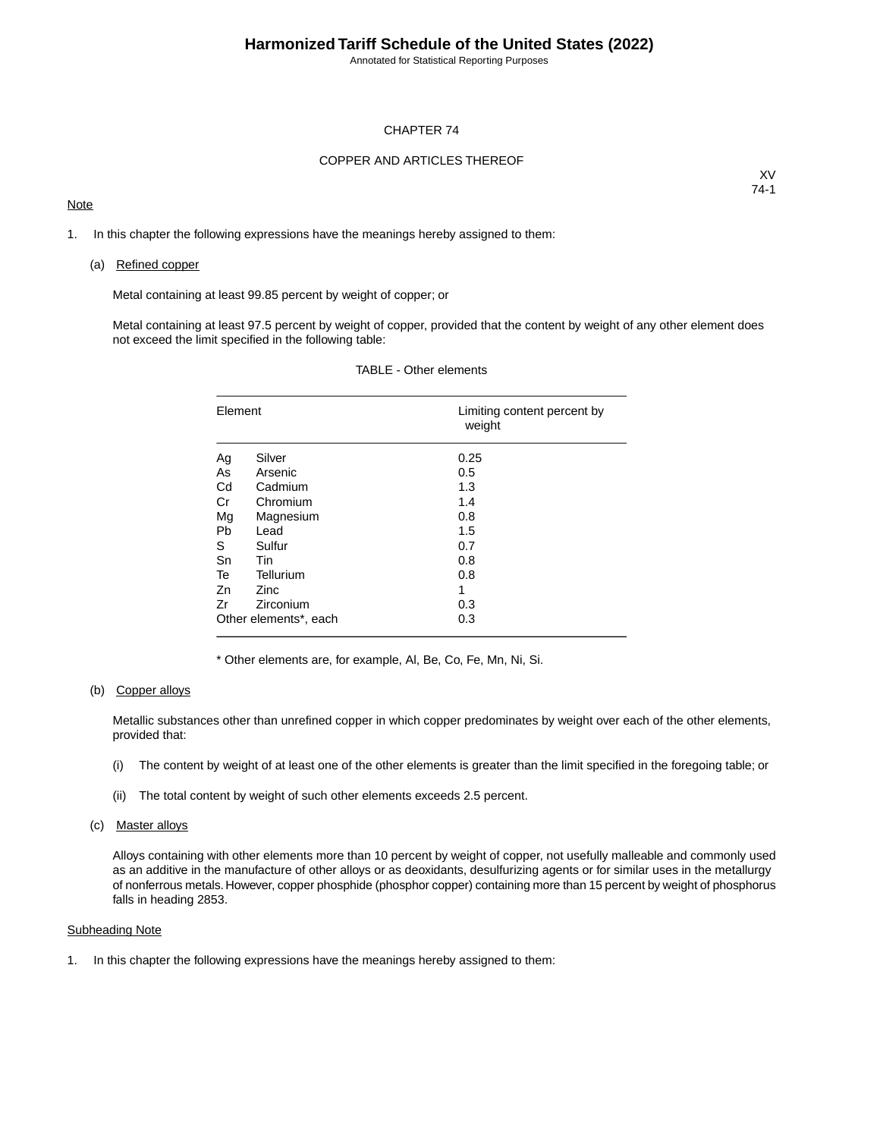Annotated for Statistical Reporting Purposes

### CHAPTER 74

### COPPER AND ARTICLES THEREOF

### **Note**

XV 74-1

1. In this chapter the following expressions have the meanings hereby assigned to them:

#### (a) Refined copper

Metal containing at least 99.85 percent by weight of copper; or

Metal containing at least 97.5 percent by weight of copper, provided that the content by weight of any other element does not exceed the limit specified in the following table:

| Element               |             | Limiting content percent by<br>weight |
|-----------------------|-------------|---------------------------------------|
| Ag                    | Silver      | 0.25                                  |
| As                    | Arsenic     | 0.5                                   |
| Cd                    | Cadmium     | 1.3                                   |
| Cr                    | Chromium    | 1.4                                   |
| Mg                    | Magnesium   | 0.8                                   |
| Pb                    | Lead        | 1.5                                   |
| S                     | Sulfur      | 0.7                                   |
| Sn                    | Tin         | 0.8                                   |
| Te                    | Tellurium   | 0.8                                   |
| Zn                    | <b>Zinc</b> | 1                                     |
| Zr                    | Zirconium   | 0.3                                   |
| Other elements*, each |             | 0.3                                   |

### TABLE - Other elements

\* Other elements are, for example, Al, Be, Co, Fe, Mn, Ni, Si.

### (b) Copper alloys

Metallic substances other than unrefined copper in which copper predominates by weight over each of the other elements, provided that:

- (i) The content by weight of at least one of the other elements is greater than the limit specified in the foregoing table; or
- (ii) The total content by weight of such other elements exceeds 2.5 percent.

#### (c) Master alloys

Alloys containing with other elements more than 10 percent by weight of copper, not usefully malleable and commonly used as an additive in the manufacture of other alloys or as deoxidants, desulfurizing agents or for similar uses in the metallurgy of nonferrous metals. However, copper phosphide (phosphor copper) containing more than 15 percent by weight of phosphorus falls in heading 2853.

### Subheading Note

1. In this chapter the following expressions have the meanings hereby assigned to them: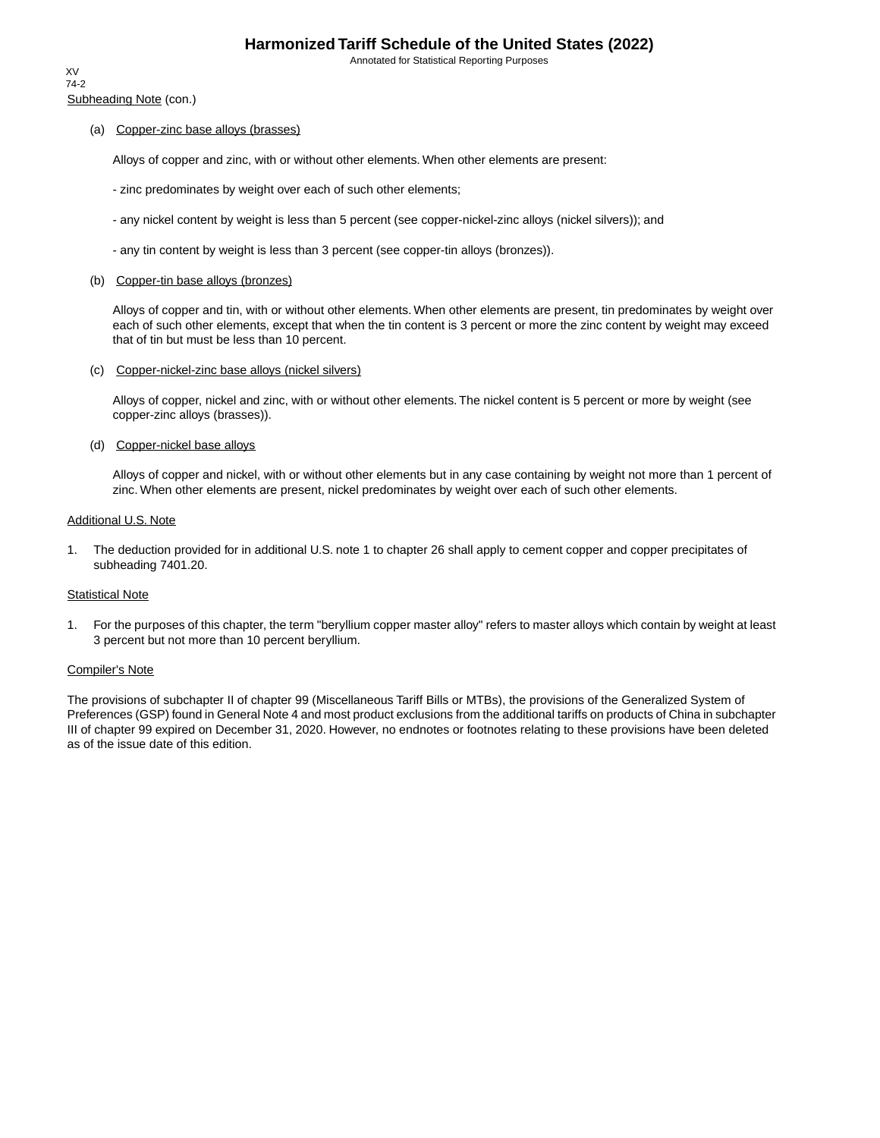Annotated for Statistical Reporting Purposes

Subheading Note (con.) XV 74-2

### (a) Copper-zinc base alloys (brasses)

Alloys of copper and zinc, with or without other elements. When other elements are present:

- zinc predominates by weight over each of such other elements;
- any nickel content by weight is less than 5 percent (see copper-nickel-zinc alloys (nickel silvers)); and
- any tin content by weight is less than 3 percent (see copper-tin alloys (bronzes)).

### (b) Copper-tin base alloys (bronzes)

Alloys of copper and tin, with or without other elements. When other elements are present, tin predominates by weight over each of such other elements, except that when the tin content is 3 percent or more the zinc content by weight may exceed that of tin but must be less than 10 percent.

### (c) Copper-nickel-zinc base alloys (nickel silvers)

Alloys of copper, nickel and zinc, with or without other elements. The nickel content is 5 percent or more by weight (see copper-zinc alloys (brasses)).

#### (d) Copper-nickel base alloys

Alloys of copper and nickel, with or without other elements but in any case containing by weight not more than 1 percent of zinc. When other elements are present, nickel predominates by weight over each of such other elements.

#### Additional U.S. Note

1. The deduction provided for in additional U.S. note 1 to chapter 26 shall apply to cement copper and copper precipitates of subheading 7401.20.

#### Statistical Note

1. For the purposes of this chapter, the term "beryllium copper master alloy" refers to master alloys which contain by weight at least 3 percent but not more than 10 percent beryllium.

### Compiler's Note

The provisions of subchapter II of chapter 99 (Miscellaneous Tariff Bills or MTBs), the provisions of the Generalized System of Preferences (GSP) found in General Note 4 and most product exclusions from the additional tariffs on products of China in subchapter III of chapter 99 expired on December 31, 2020. However, no endnotes or footnotes relating to these provisions have been deleted as of the issue date of this edition.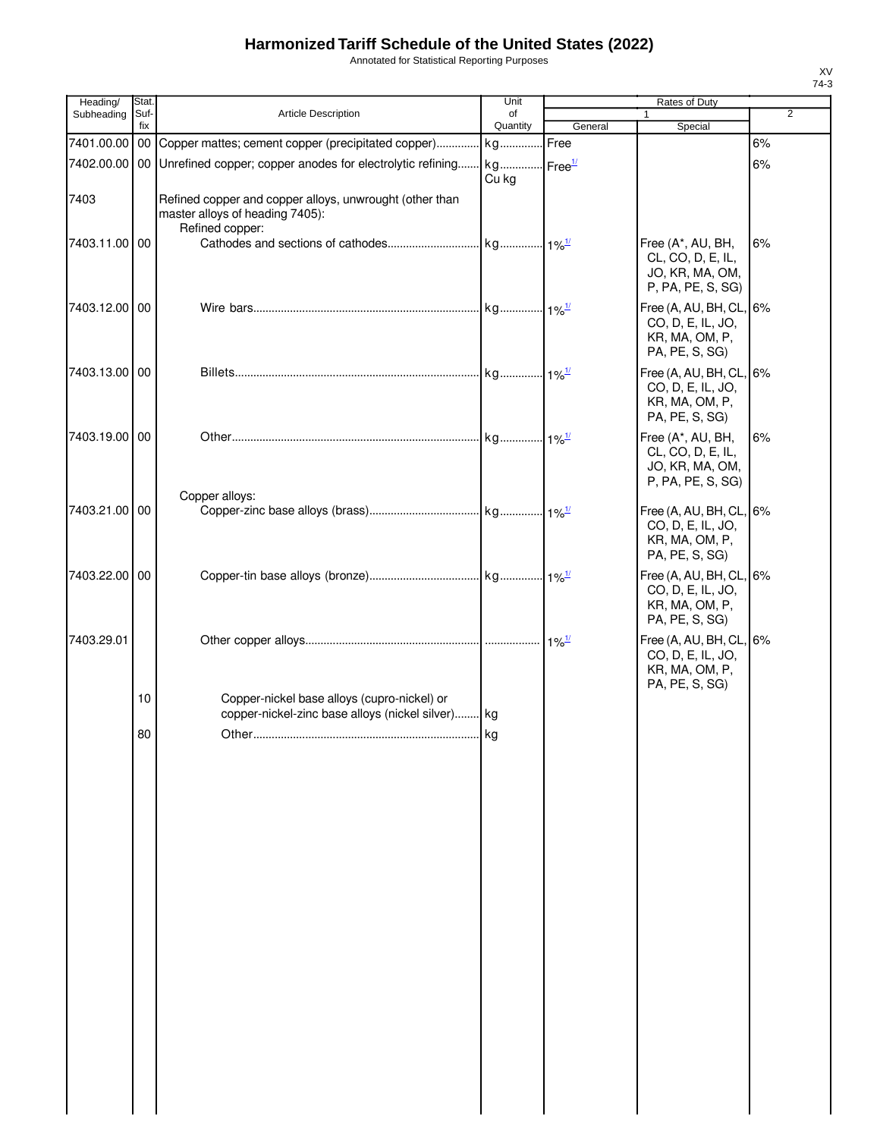Annotated for Statistical Reporting Purposes

| Heading/      | Stat.       |                                                                                                               | Unit                    |                          | Rates of Duty                                                                    |                |
|---------------|-------------|---------------------------------------------------------------------------------------------------------------|-------------------------|--------------------------|----------------------------------------------------------------------------------|----------------|
| Subheading    | Suf-<br>fix | Article Description                                                                                           | of<br>Quantity          | General                  | 1<br>Special                                                                     | $\overline{2}$ |
| 7401.00.00    | $00\,$      | Copper mattes; cement copper (precipitated copper) kg                                                         |                         | Free                     |                                                                                  | 6%             |
|               |             | 7402.00.00   00 Unrefined copper; copper anodes for electrolytic refining                                     | . kg Free <sup>1/</sup> |                          |                                                                                  | 6%             |
|               |             |                                                                                                               | Cu kg                   |                          |                                                                                  |                |
| 7403          |             | Refined copper and copper alloys, unwrought (other than<br>master alloys of heading 7405):<br>Refined copper: |                         |                          |                                                                                  |                |
| 7403.11.00 00 |             |                                                                                                               | kg 1% <sup>1/</sup>     |                          | Free (A*, AU, BH,<br>CL, CO, D, E, IL,<br>JO, KR, MA, OM,<br>P, PA, PE, S, SG)   | 6%             |
| 7403.12.00 00 |             |                                                                                                               | kg 1% <sup>1/</sup>     |                          | Free (A, AU, BH, CL, 6%<br>CO, D, E, IL, JO,<br>KR, MA, OM, P,<br>PA, PE, S, SG) |                |
| 7403.13.00 00 |             |                                                                                                               |                         |                          | Free (A, AU, BH, CL, 6%<br>CO, D, E, IL, JO,<br>KR, MA, OM, P,<br>PA, PE, S, SG) |                |
| 7403.19.00 00 |             |                                                                                                               | kg 1% <sup>1/</sup>     |                          | Free (A*, AU, BH,<br>CL, CO, D, E, IL,<br>JO, KR, MA, OM,<br>P, PA, PE, S, SG)   | 6%             |
| 7403.21.00 00 |             | Copper alloys:                                                                                                |                         |                          | Free (A, AU, BH, CL, 6%<br>CO, D, E, IL, JO,<br>KR, MA, OM, P,<br>PA, PE, S, SG) |                |
| 7403.22.00 00 |             |                                                                                                               |                         |                          | Free (A, AU, BH, CL, 6%<br>CO, D, E, IL, JO,<br>KR, MA, OM, P,<br>PA, PE, S, SG) |                |
| 7403.29.01    |             |                                                                                                               |                         | $\cdot$ 1% $\frac{1}{2}$ | Free (A, AU, BH, CL, 6%<br>CO, D, E, IL, JO,<br>KR, MA, OM, P,<br>PA, PE, S, SG) |                |
|               | 10          | Copper-nickel base alloys (cupro-nickel) or<br>copper-nickel-zinc base alloys (nickel silver) kg              |                         |                          |                                                                                  |                |
|               | 80          |                                                                                                               |                         |                          |                                                                                  |                |
|               |             | Other                                                                                                         | kg                      |                          |                                                                                  |                |
|               |             |                                                                                                               |                         |                          |                                                                                  |                |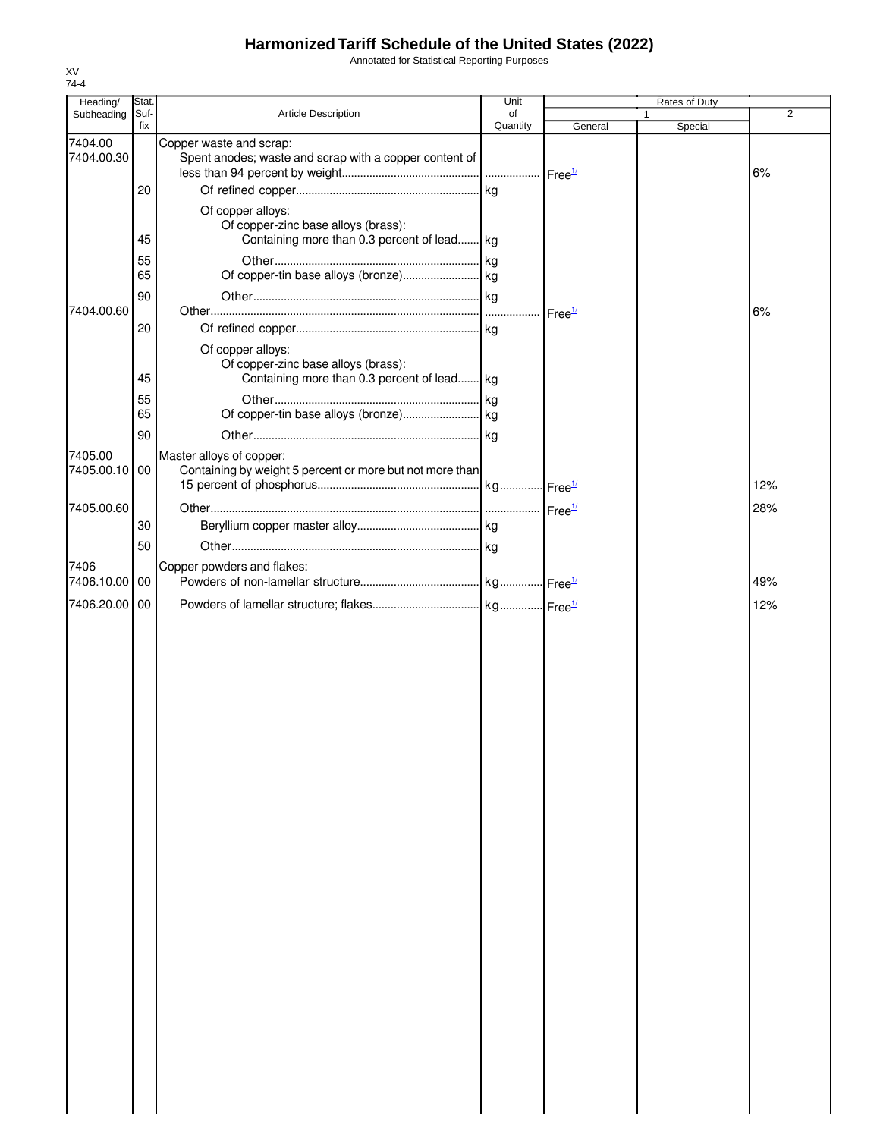Annotated for Statistical Reporting Purposes

| Heading/      | Stat.       |                                                                                    | Unit           |                    | Rates of Duty           |                |
|---------------|-------------|------------------------------------------------------------------------------------|----------------|--------------------|-------------------------|----------------|
| Subheading    | Suf-<br>fix | <b>Article Description</b>                                                         | of<br>Quantity | General            | $\mathbf{1}$<br>Special | $\overline{2}$ |
| 7404.00       |             | Copper waste and scrap:                                                            |                |                    |                         |                |
| 7404.00.30    |             | Spent anodes; waste and scrap with a copper content of                             |                |                    |                         |                |
|               |             |                                                                                    |                |                    |                         | 6%             |
|               | 20          |                                                                                    |                |                    |                         |                |
|               |             | Of copper alloys:                                                                  |                |                    |                         |                |
|               | 45          | Of copper-zinc base alloys (brass):<br>Containing more than 0.3 percent of lead kg |                |                    |                         |                |
|               |             |                                                                                    |                |                    |                         |                |
|               | 55<br>65    |                                                                                    |                |                    |                         |                |
|               | 90          |                                                                                    |                |                    |                         |                |
| 7404.00.60    |             |                                                                                    |                | Free <sup>1/</sup> |                         | 6%             |
|               | 20          |                                                                                    |                |                    |                         |                |
|               |             | Of copper alloys:                                                                  |                |                    |                         |                |
|               |             | Of copper-zinc base alloys (brass):                                                |                |                    |                         |                |
|               | 45          | Containing more than 0.3 percent of lead kg                                        |                |                    |                         |                |
|               | 55          |                                                                                    |                |                    |                         |                |
|               | 65          |                                                                                    |                |                    |                         |                |
|               | 90          |                                                                                    |                |                    |                         |                |
| 7405.00       |             | Master alloys of copper:                                                           |                |                    |                         |                |
| 7405.00.10 00 |             | Containing by weight 5 percent or more but not more than                           |                |                    |                         |                |
|               |             |                                                                                    |                |                    |                         | 12%            |
| 7405.00.60    |             |                                                                                    |                |                    |                         | 28%            |
|               | 30          |                                                                                    |                |                    |                         |                |
|               | 50          |                                                                                    |                |                    |                         |                |
| 7406          |             | Copper powders and flakes:                                                         |                |                    |                         |                |
| 7406.10.00    | 00          |                                                                                    |                |                    |                         | 49%            |
| 7406.20.00 00 |             |                                                                                    |                |                    |                         | 12%            |
|               |             |                                                                                    |                |                    |                         |                |
|               |             |                                                                                    |                |                    |                         |                |
|               |             |                                                                                    |                |                    |                         |                |
|               |             |                                                                                    |                |                    |                         |                |
|               |             |                                                                                    |                |                    |                         |                |
|               |             |                                                                                    |                |                    |                         |                |
|               |             |                                                                                    |                |                    |                         |                |
|               |             |                                                                                    |                |                    |                         |                |
|               |             |                                                                                    |                |                    |                         |                |
|               |             |                                                                                    |                |                    |                         |                |
|               |             |                                                                                    |                |                    |                         |                |
|               |             |                                                                                    |                |                    |                         |                |
|               |             |                                                                                    |                |                    |                         |                |
|               |             |                                                                                    |                |                    |                         |                |
|               |             |                                                                                    |                |                    |                         |                |
|               |             |                                                                                    |                |                    |                         |                |
|               |             |                                                                                    |                |                    |                         |                |
|               |             |                                                                                    |                |                    |                         |                |
|               |             |                                                                                    |                |                    |                         |                |
|               |             |                                                                                    |                |                    |                         |                |
|               |             |                                                                                    |                |                    |                         |                |
|               |             |                                                                                    |                |                    |                         |                |
|               |             |                                                                                    |                |                    |                         |                |
|               |             |                                                                                    |                |                    |                         |                |
|               |             |                                                                                    |                |                    |                         |                |
|               |             |                                                                                    |                |                    |                         |                |
|               |             |                                                                                    |                |                    |                         |                |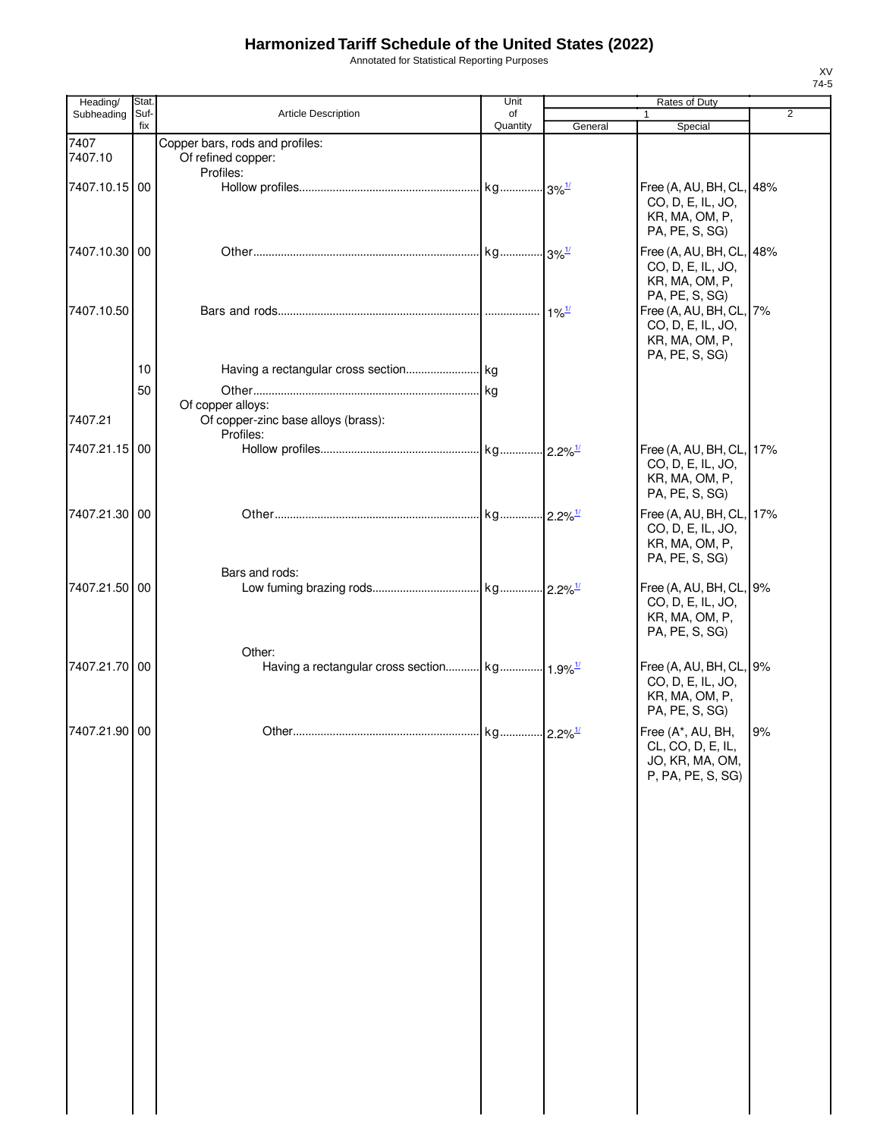Annotated for Statistical Reporting Purposes

| Heading/        | Stat.       |                                                                    | Unit                  |         | Rates of Duty                                                                                   |                |
|-----------------|-------------|--------------------------------------------------------------------|-----------------------|---------|-------------------------------------------------------------------------------------------------|----------------|
| Subheading      | Suf-<br>fix | <b>Article Description</b>                                         | of<br>Quantity        | General | $\mathbf{1}$<br>Special                                                                         | $\overline{2}$ |
| 7407<br>7407.10 |             | Copper bars, rods and profiles:<br>Of refined copper:<br>Profiles: |                       |         |                                                                                                 |                |
| 7407.10.15 00   |             |                                                                    |                       |         | Free (A, AU, BH, CL, 48%<br>CO, D, E, IL, JO,<br>KR, MA, OM, P,<br>PA, PE, S, SG)               |                |
| 7407.10.30 00   |             |                                                                    |                       |         | Free (A, AU, BH, CL, 48%<br>CO, D, E, IL, JO,<br>KR, MA, OM, P,                                 |                |
| 7407.10.50      |             |                                                                    |                       |         | PA, PE, S, SG)<br>Free (A, AU, BH, CL,<br>CO, D, E, IL, JO,<br>KR, MA, OM, P,<br>PA, PE, S, SG) | 7%             |
|                 | 10          |                                                                    |                       |         |                                                                                                 |                |
| 7407.21         | 50          | Of copper alloys:<br>Of copper-zinc base alloys (brass):           |                       |         |                                                                                                 |                |
|                 |             | Profiles:                                                          |                       |         |                                                                                                 |                |
| 7407.21.15 00   |             |                                                                    |                       |         | Free (A, AU, BH, CL, 17%<br>CO, D, E, IL, JO,<br>KR, MA, OM, P,<br>PA, PE, S, SG)               |                |
| 7407.21.30 00   |             |                                                                    |                       |         | Free (A, AU, BH, CL, 17%<br>CO, D, E, IL, JO,<br>KR, MA, OM, P,<br>PA, PE, S, SG)               |                |
| 7407.21.50 00   |             | Bars and rods:                                                     |                       |         | Free (A, AU, BH, CL, 9%<br>CO, D, E, IL, JO,<br>KR, MA, OM, P,<br>PA, PE, S, SG)                |                |
| 7407.21.70 00   |             | Other:                                                             |                       |         | Free (A, AU, BH, CL, 9%<br>CO, D, E, IL, JO,<br>KR, MA, OM, P,<br>PA, PE, S, SG)                |                |
| 7407.21.90 00   |             | Other                                                              | kg 2.2% <sup>1/</sup> |         | Free (A*, AU, BH,<br>CL, CO, D, E, IL,<br>JO, KR, MA, OM,<br>P, PA, PE, S, SG)                  | 9%             |
|                 |             |                                                                    |                       |         |                                                                                                 |                |
|                 |             |                                                                    |                       |         |                                                                                                 |                |
|                 |             |                                                                    |                       |         |                                                                                                 |                |
|                 |             |                                                                    |                       |         |                                                                                                 |                |
|                 |             |                                                                    |                       |         |                                                                                                 |                |
|                 |             |                                                                    |                       |         |                                                                                                 |                |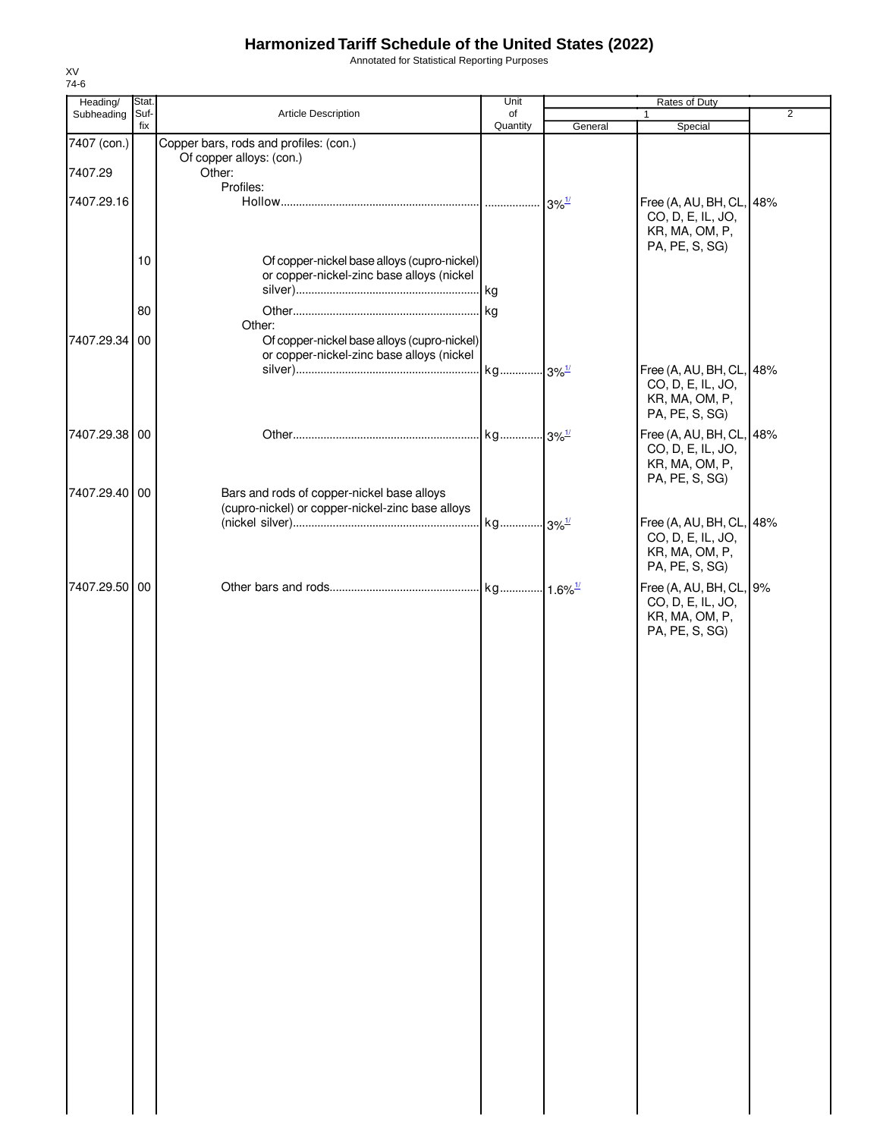Annotated for Statistical Reporting Purposes

| Heading/      | Stat.           |                                                  | Unit           |                                           | Rates of Duty                                 |                |
|---------------|-----------------|--------------------------------------------------|----------------|-------------------------------------------|-----------------------------------------------|----------------|
| Subheading    | Suf-<br>fix     | Article Description                              | of<br>Quantity | General                                   | $\mathbf{1}$<br>Special                       | $\overline{2}$ |
| 7407 (con.)   |                 | Copper bars, rods and profiles: (con.)           |                |                                           |                                               |                |
|               |                 | Of copper alloys: (con.)                         |                |                                           |                                               |                |
| 7407.29       |                 | Other:<br>Profiles:                              |                |                                           |                                               |                |
| 7407.29.16    |                 |                                                  |                | $3\%$ <sup><math>\frac{1}{2}</math></sup> | Free (A, AU, BH, CL, 48%                      |                |
|               |                 |                                                  |                |                                           | CO, D, E, IL, JO,                             |                |
|               |                 |                                                  |                |                                           | KR, MA, OM, P,                                |                |
|               | 10 <sup>°</sup> | Of copper-nickel base alloys (cupro-nickel)      |                |                                           | PA, PE, S, SG)                                |                |
|               |                 | or copper-nickel-zinc base alloys (nickel        |                |                                           |                                               |                |
|               |                 |                                                  |                |                                           |                                               |                |
|               | 80              |                                                  |                |                                           |                                               |                |
|               |                 | Other:                                           |                |                                           |                                               |                |
| 7407.29.34 00 |                 | Of copper-nickel base alloys (cupro-nickel)      |                |                                           |                                               |                |
|               |                 | or copper-nickel-zinc base alloys (nickel        |                |                                           |                                               |                |
|               |                 |                                                  |                |                                           | Free (A, AU, BH, CL, 48%<br>CO, D, E, IL, JO, |                |
|               |                 |                                                  |                |                                           | KR, MA, OM, P,                                |                |
|               |                 |                                                  |                |                                           | PA, PE, S, SG)                                |                |
| 7407.29.38 00 |                 |                                                  |                |                                           | Free (A, AU, BH, CL, 48%                      |                |
|               |                 |                                                  |                |                                           | CO, D, E, IL, JO,                             |                |
|               |                 |                                                  |                |                                           | KR, MA, OM, P,<br>PA, PE, S, SG)              |                |
| 7407.29.40 00 |                 | Bars and rods of copper-nickel base alloys       |                |                                           |                                               |                |
|               |                 | (cupro-nickel) or copper-nickel-zinc base alloys |                |                                           |                                               |                |
|               |                 |                                                  |                |                                           | Free (A, AU, BH, CL, 48%                      |                |
|               |                 |                                                  |                |                                           | CO, D, E, IL, JO,<br>KR, MA, OM, P,           |                |
|               |                 |                                                  |                |                                           | PA, PE, S, SG)                                |                |
| 7407.29.50 00 |                 |                                                  |                |                                           | Free (A, AU, BH, CL, 9%                       |                |
|               |                 |                                                  |                |                                           | CO, D, E, IL, JO,                             |                |
|               |                 |                                                  |                |                                           | KR, MA, OM, P,                                |                |
|               |                 |                                                  |                |                                           | PA, PE, S, SG)                                |                |
|               |                 |                                                  |                |                                           |                                               |                |
|               |                 |                                                  |                |                                           |                                               |                |
|               |                 |                                                  |                |                                           |                                               |                |
|               |                 |                                                  |                |                                           |                                               |                |
|               |                 |                                                  |                |                                           |                                               |                |
|               |                 |                                                  |                |                                           |                                               |                |
|               |                 |                                                  |                |                                           |                                               |                |
|               |                 |                                                  |                |                                           |                                               |                |
|               |                 |                                                  |                |                                           |                                               |                |
|               |                 |                                                  |                |                                           |                                               |                |
|               |                 |                                                  |                |                                           |                                               |                |
|               |                 |                                                  |                |                                           |                                               |                |
|               |                 |                                                  |                |                                           |                                               |                |
|               |                 |                                                  |                |                                           |                                               |                |
|               |                 |                                                  |                |                                           |                                               |                |
|               |                 |                                                  |                |                                           |                                               |                |
|               |                 |                                                  |                |                                           |                                               |                |
|               |                 |                                                  |                |                                           |                                               |                |
|               |                 |                                                  |                |                                           |                                               |                |
|               |                 |                                                  |                |                                           |                                               |                |
|               |                 |                                                  |                |                                           |                                               |                |
|               |                 |                                                  |                |                                           |                                               |                |
|               |                 |                                                  |                |                                           |                                               |                |
|               |                 |                                                  |                |                                           |                                               |                |
|               |                 |                                                  |                |                                           |                                               |                |
|               |                 |                                                  |                |                                           |                                               |                |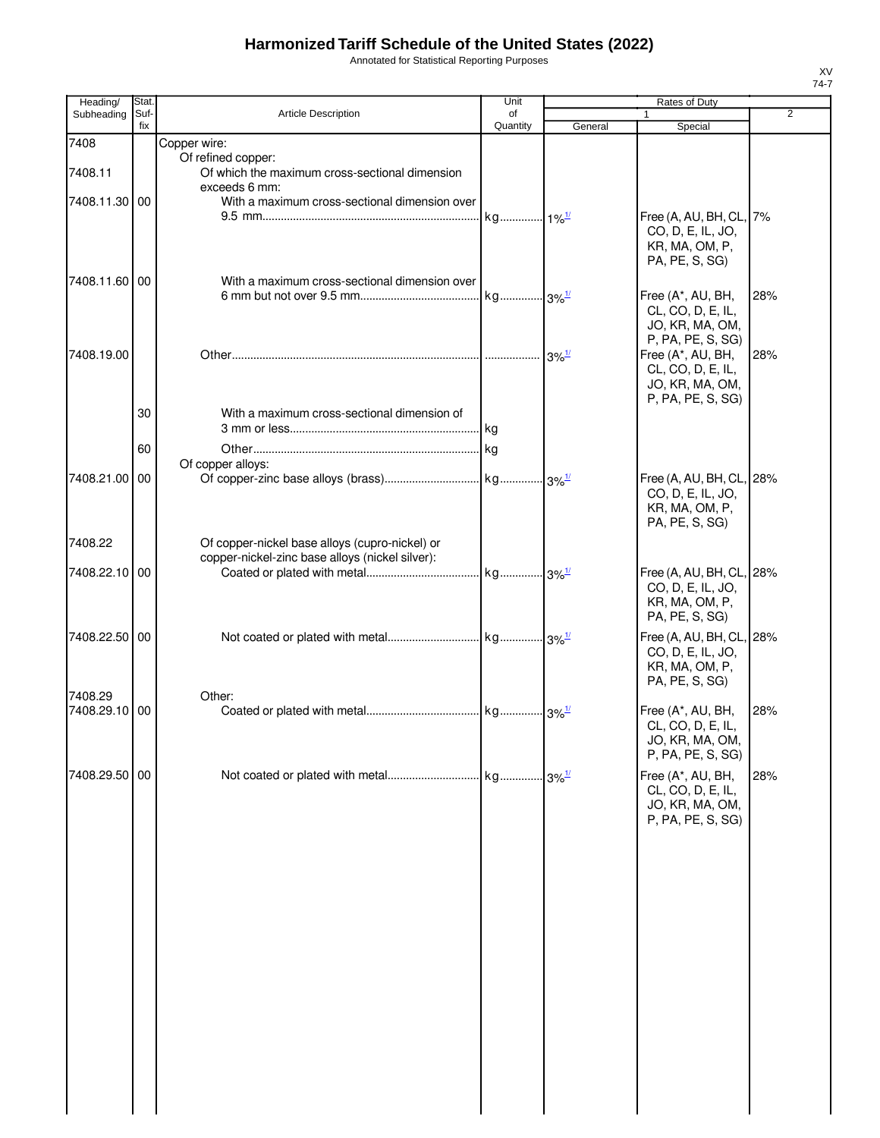Annotated for Statistical Reporting Purposes

| Heading/      | Stat. |                                                 | Unit                |                     | Rates of Duty            |                |
|---------------|-------|-------------------------------------------------|---------------------|---------------------|--------------------------|----------------|
| Subheading    | Suf-  | <b>Article Description</b>                      | of                  |                     | 1                        | $\overline{2}$ |
|               | fix   |                                                 | Quantity            | General             | Special                  |                |
| 7408          |       | Copper wire:                                    |                     |                     |                          |                |
|               |       | Of refined copper:                              |                     |                     |                          |                |
| 7408.11       |       | Of which the maximum cross-sectional dimension  |                     |                     |                          |                |
|               |       | exceeds 6 mm:                                   |                     |                     |                          |                |
| 7408.11.30 00 |       | With a maximum cross-sectional dimension over   |                     |                     |                          |                |
|               |       |                                                 | kg 1% <sup>1/</sup> |                     | Free (A, AU, BH, CL, 7%  |                |
|               |       |                                                 |                     |                     | CO, D, E, IL, JO,        |                |
|               |       |                                                 |                     |                     | KR, MA, OM, P,           |                |
|               |       |                                                 |                     |                     | PA, PE, S, SG)           |                |
| 7408.11.60 00 |       | With a maximum cross-sectional dimension over   |                     |                     |                          |                |
|               |       |                                                 |                     |                     |                          |                |
|               |       |                                                 |                     |                     | Free (A*, AU, BH,        | 28%            |
|               |       |                                                 |                     |                     | CL, CO, D, E, IL,        |                |
|               |       |                                                 |                     |                     | JO, KR, MA, OM,          |                |
|               |       |                                                 |                     |                     | P, PA, PE, S, SG)        |                |
| 7408.19.00    |       |                                                 |                     | $3\%$ <sup>1/</sup> | Free (A*, AU, BH,        | 28%            |
|               |       |                                                 |                     |                     | CL, CO, D, E, IL,        |                |
|               |       |                                                 |                     |                     | JO, KR, MA, OM,          |                |
|               |       |                                                 |                     |                     | P, PA, PE, S, SG)        |                |
|               | 30    | With a maximum cross-sectional dimension of     |                     |                     |                          |                |
|               |       |                                                 |                     |                     |                          |                |
|               |       |                                                 |                     |                     |                          |                |
|               | 60    |                                                 |                     |                     |                          |                |
|               |       | Of copper alloys:                               |                     |                     |                          |                |
| 7408.21.00 00 |       |                                                 |                     |                     | Free (A, AU, BH, CL, 28% |                |
|               |       |                                                 |                     |                     | CO, D, E, IL, JO,        |                |
|               |       |                                                 |                     |                     | KR, MA, OM, P,           |                |
|               |       |                                                 |                     |                     | PA, PE, S, SG)           |                |
|               |       |                                                 |                     |                     |                          |                |
| 7408.22       |       | Of copper-nickel base alloys (cupro-nickel) or  |                     |                     |                          |                |
|               |       | copper-nickel-zinc base alloys (nickel silver): |                     |                     |                          |                |
| 7408.22.10 00 |       |                                                 |                     |                     | Free (A, AU, BH, CL, 28% |                |
|               |       |                                                 |                     |                     | CO, D, E, IL, JO,        |                |
|               |       |                                                 |                     |                     | KR, MA, OM, P,           |                |
|               |       |                                                 |                     |                     | PA, PE, S, SG)           |                |
|               |       |                                                 |                     |                     |                          |                |
| 7408.22.50 00 |       |                                                 |                     |                     | Free (A, AU, BH, CL, 28% |                |
|               |       |                                                 |                     |                     | CO, D, E, IL, JO,        |                |
|               |       |                                                 |                     |                     | KR, MA, OM, P,           |                |
|               |       |                                                 |                     |                     | PA, PE, S, SG)           |                |
| 7408.29       |       | Other:                                          |                     |                     |                          |                |
| 7408.29.10    | 00    |                                                 |                     |                     | Free (A*, AU, BH,        | 28%            |
|               |       |                                                 |                     |                     | CL, CO, D, E, IL,        |                |
|               |       |                                                 |                     |                     | JO, KR, MA, OM,          |                |
|               |       |                                                 |                     |                     | P, PA, PE, S, SG)        |                |
|               |       |                                                 |                     |                     |                          |                |
| 7408.29.50 00 |       |                                                 |                     |                     | Free (A*, AU, BH,        | 28%            |
|               |       |                                                 |                     |                     | CL, CO, D, E, IL,        |                |
|               |       |                                                 |                     |                     | JO, KR, MA, OM,          |                |
|               |       |                                                 |                     |                     | P, PA, PE, S, SG)        |                |
|               |       |                                                 |                     |                     |                          |                |
|               |       |                                                 |                     |                     |                          |                |
|               |       |                                                 |                     |                     |                          |                |
|               |       |                                                 |                     |                     |                          |                |
|               |       |                                                 |                     |                     |                          |                |
|               |       |                                                 |                     |                     |                          |                |
|               |       |                                                 |                     |                     |                          |                |
|               |       |                                                 |                     |                     |                          |                |
|               |       |                                                 |                     |                     |                          |                |
|               |       |                                                 |                     |                     |                          |                |
|               |       |                                                 |                     |                     |                          |                |
|               |       |                                                 |                     |                     |                          |                |
|               |       |                                                 |                     |                     |                          |                |
|               |       |                                                 |                     |                     |                          |                |
|               |       |                                                 |                     |                     |                          |                |
|               |       |                                                 |                     |                     |                          |                |
|               |       |                                                 |                     |                     |                          |                |
|               |       |                                                 |                     |                     |                          |                |
|               |       |                                                 |                     |                     |                          |                |
|               |       |                                                 |                     |                     |                          |                |
|               |       |                                                 |                     |                     |                          |                |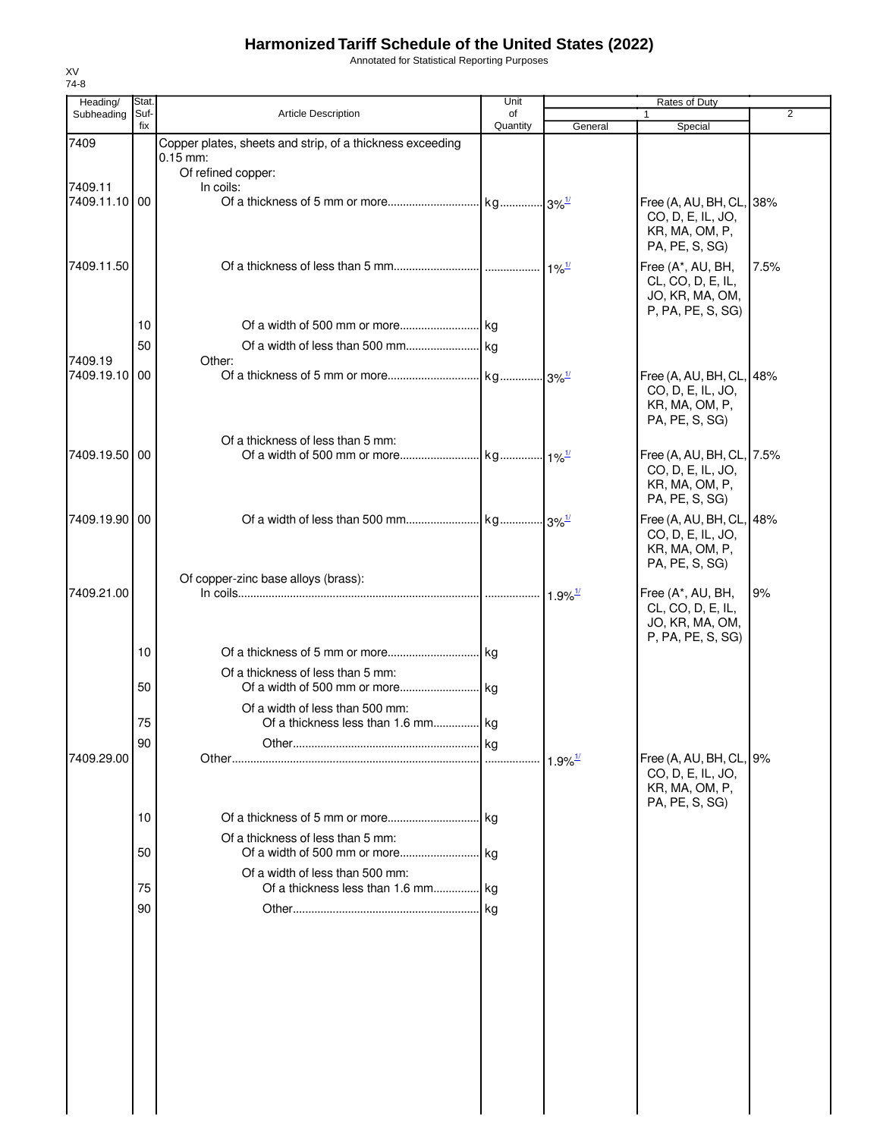Annotated for Statistical Reporting Purposes

| Heading/                 | Stat.       |                                                                                               | Unit           | Rates of Duty                               |                                                                                    |                |  |
|--------------------------|-------------|-----------------------------------------------------------------------------------------------|----------------|---------------------------------------------|------------------------------------------------------------------------------------|----------------|--|
| Subheading               | Suf-<br>fix | <b>Article Description</b>                                                                    | of<br>Quantity | General                                     | $\mathbf{1}$<br>Special                                                            | $\overline{2}$ |  |
| 7409                     |             | Copper plates, sheets and strip, of a thickness exceeding<br>$0.15$ mm:<br>Of refined copper: |                |                                             |                                                                                    |                |  |
| 7409.11<br>7409.11.10100 |             | In coils:                                                                                     |                |                                             | Free (A, AU, BH, CL, 38%<br>CO, D, E, IL, JO,<br>KR, MA, OM, P,<br>PA, PE, S, SG)  |                |  |
| 7409.11.50               |             |                                                                                               |                |                                             | Free (A*, AU, BH,<br>CL, CO, D, E, IL,<br>JO, KR, MA, OM,<br>P, PA, PE, S, SG)     | 7.5%           |  |
|                          | 10          |                                                                                               |                |                                             |                                                                                    |                |  |
|                          | 50          |                                                                                               |                |                                             |                                                                                    |                |  |
| 7409.19<br>7409.19.10 00 |             | Other:                                                                                        |                |                                             | Free (A, AU, BH, CL, 48%<br>CO, D, E, IL, JO,<br>KR, MA, OM, P,<br>PA, PE, S, SG)  |                |  |
| 7409.19.50 00            |             | Of a thickness of less than 5 mm:                                                             |                |                                             | Free (A, AU, BH, CL, 7.5%<br>CO, D, E, IL, JO,<br>KR, MA, OM, P,<br>PA, PE, S, SG) |                |  |
| 7409.19.90 00            |             |                                                                                               |                |                                             | Free (A, AU, BH, CL, 48%<br>CO, D, E, IL, JO,<br>KR, MA, OM, P,<br>PA, PE, S, SG)  |                |  |
| 7409.21.00               |             | Of copper-zinc base alloys (brass):                                                           |                | $1.9\%$ <sup><math>\frac{1}{2}</math></sup> | Free (A*, AU, BH,<br>CL, CO, D, E, IL,<br>JO, KR, MA, OM,<br>P, PA, PE, S, SG)     | 9%             |  |
|                          | 10          |                                                                                               |                |                                             |                                                                                    |                |  |
|                          | 50          | Of a thickness of less than 5 mm:                                                             |                |                                             |                                                                                    |                |  |
|                          | 75          | Of a width of less than 500 mm:<br>Of a thickness less than 1.6 mm kg                         |                |                                             |                                                                                    |                |  |
| 7409.29.00               | 90          |                                                                                               |                |                                             | Free (A, AU, BH, CL, 9%<br>CO, D, E, IL, JO,<br>KR, MA, OM, P,<br>PA, PE, S, SG)   |                |  |
|                          | 10          | Of a thickness of less than 5 mm:                                                             |                |                                             |                                                                                    |                |  |
|                          | 50          | Of a width of less than 500 mm:                                                               |                |                                             |                                                                                    |                |  |
|                          | 75          | Of a thickness less than 1.6 mm kg                                                            |                |                                             |                                                                                    |                |  |
|                          | 90          |                                                                                               |                |                                             |                                                                                    |                |  |
|                          |             |                                                                                               |                |                                             |                                                                                    |                |  |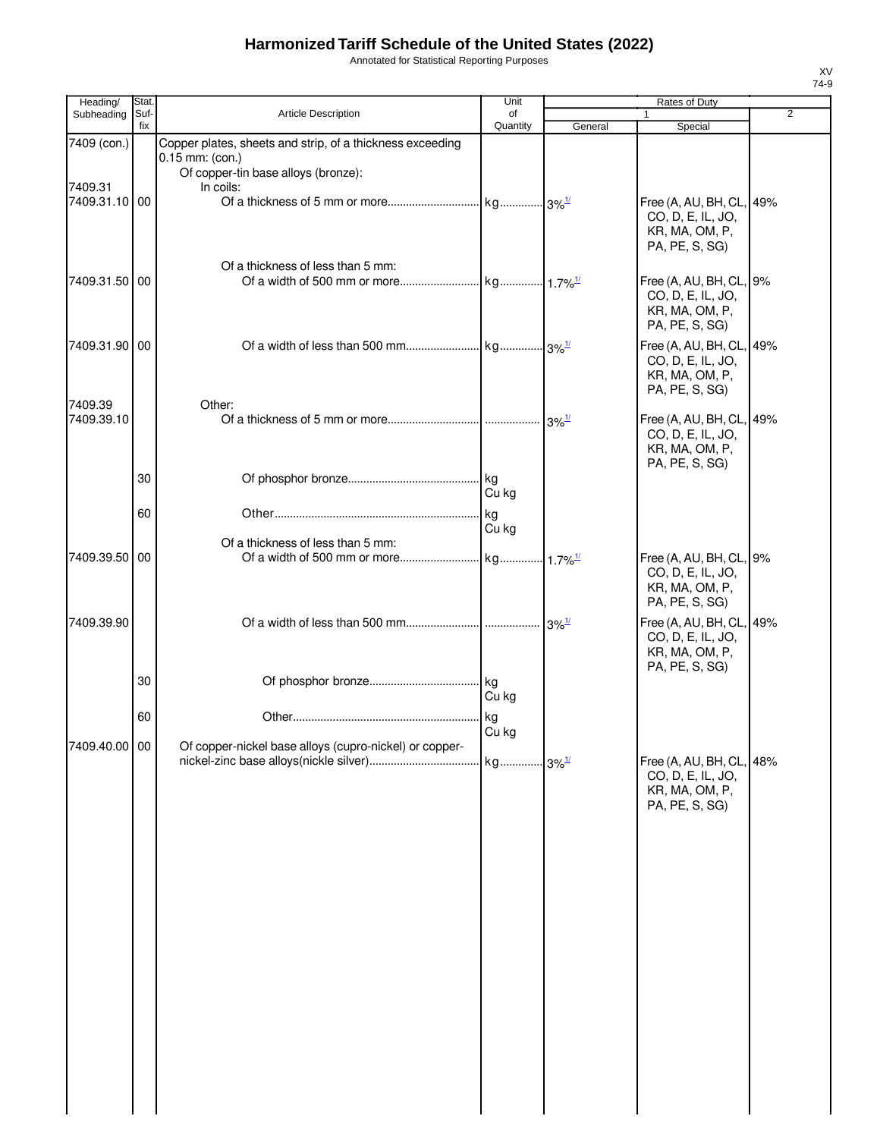Annotated for Statistical Reporting Purposes

| Heading/              | <b>Stat</b> |                                                                       | Unit           |                     | <b>Rates of Duty</b>                                                              |   |
|-----------------------|-------------|-----------------------------------------------------------------------|----------------|---------------------|-----------------------------------------------------------------------------------|---|
| Subheading            | Suf-<br>fix | <b>Article Description</b>                                            | of<br>Quantity | General             | 1<br>Special                                                                      | 2 |
| 7409 (con.)           |             | Copper plates, sheets and strip, of a thickness exceeding             |                |                     |                                                                                   |   |
| 7409.31               |             | $0.15$ mm: (con.)<br>Of copper-tin base alloys (bronze):<br>In coils: |                |                     |                                                                                   |   |
| 7409.31.10 00         |             |                                                                       |                |                     | Free (A, AU, BH, CL, 49%<br>CO, D, E, IL, JO,<br>KR, MA, OM, P,<br>PA, PE, S, SG) |   |
| 7409.31.50 00         |             | Of a thickness of less than 5 mm:                                     |                |                     | Free (A, AU, BH, CL, 9%<br>CO, D, E, IL, JO,<br>KR, MA, OM, P,<br>PA, PE, S, SG)  |   |
| 7409.31.90 00         |             |                                                                       |                |                     | Free (A, AU, BH, CL, 49%<br>CO, D, E, IL, JO,<br>KR, MA, OM, P,<br>PA, PE, S, SG) |   |
| 7409.39<br>7409.39.10 |             | Other:                                                                |                | $3\%$ <sup>1/</sup> | Free (A, AU, BH, CL, 49%<br>CO, D, E, IL, JO,<br>KR, MA, OM, P,<br>PA, PE, S, SG) |   |
|                       | 30          |                                                                       | Cu kg          |                     |                                                                                   |   |
|                       | 60          |                                                                       | kg<br>Cu kg    |                     |                                                                                   |   |
| 7409.39.50 00         |             | Of a thickness of less than 5 mm:                                     |                |                     | Free (A, AU, BH, CL, 9%<br>CO, D, E, IL, JO,<br>KR, MA, OM, P,<br>PA, PE, S, SG)  |   |
| 7409.39.90            |             |                                                                       |                |                     | Free (A, AU, BH, CL, 49%<br>CO, D, E, IL, JO,<br>KR, MA, OM, P,<br>PA, PE, S, SG) |   |
|                       | 30          |                                                                       | Cu kg          |                     |                                                                                   |   |
|                       | 60          |                                                                       | Cu kg          |                     |                                                                                   |   |
| 7409.40.00 00         |             | Of copper-nickel base alloys (cupro-nickel) or copper-                |                |                     | Free (A, AU, BH, CL, 48%<br>CO, D, E, IL, JO,<br>KR, MA, OM, P,<br>PA, PE, S, SG) |   |
|                       |             |                                                                       |                |                     |                                                                                   |   |
|                       |             |                                                                       |                |                     |                                                                                   |   |
|                       |             |                                                                       |                |                     |                                                                                   |   |
|                       |             |                                                                       |                |                     |                                                                                   |   |
|                       |             |                                                                       |                |                     |                                                                                   |   |
|                       |             |                                                                       |                |                     |                                                                                   |   |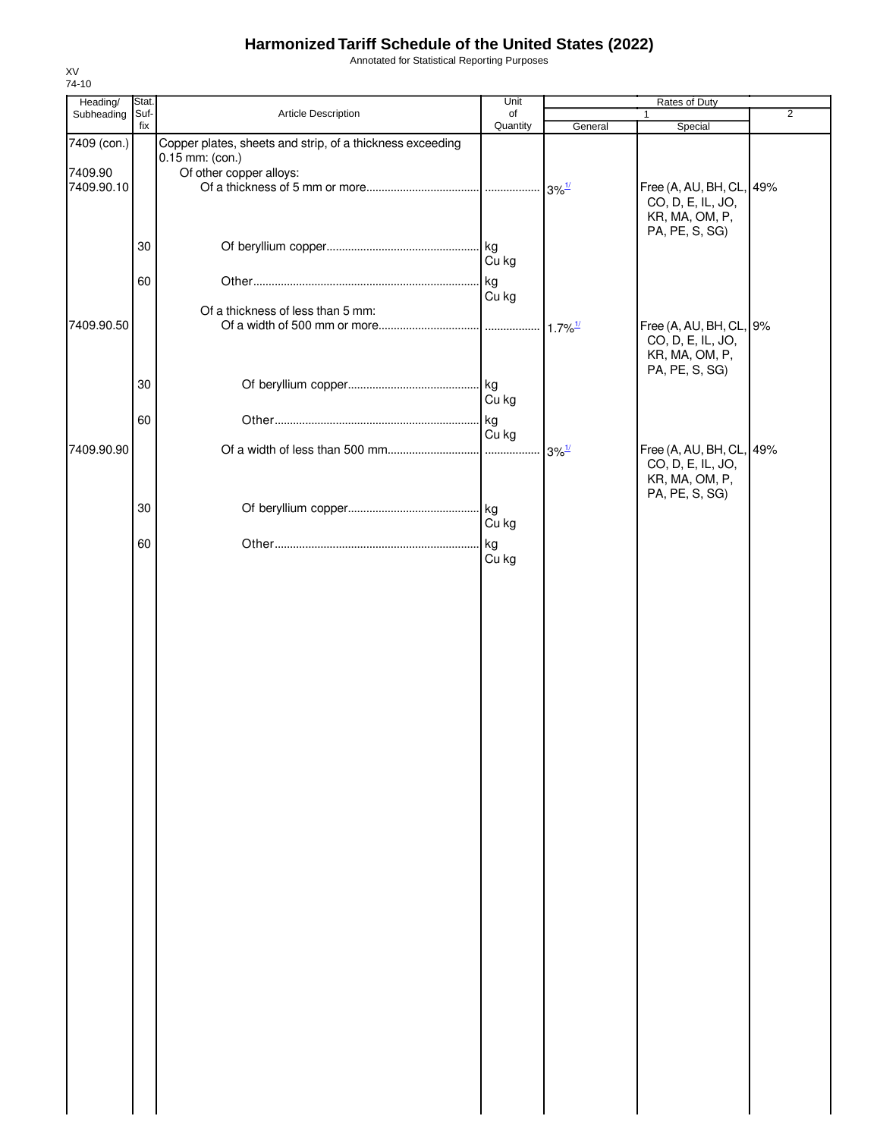Annotated for Statistical Reporting Purposes

| Heading/    | Stat. |                                                           | Unit     |                       | Rates of Duty                                 |                |
|-------------|-------|-----------------------------------------------------------|----------|-----------------------|-----------------------------------------------|----------------|
| Subheading  | Suf-  | Article Description                                       | of       |                       | $\mathbf{1}$                                  | $\overline{2}$ |
|             | fix   |                                                           | Quantity | General               | Special                                       |                |
| 7409 (con.) |       | Copper plates, sheets and strip, of a thickness exceeding |          |                       |                                               |                |
| 7409.90     |       | 0.15 mm: (con.)<br>Of other copper alloys:                |          |                       |                                               |                |
| 7409.90.10  |       |                                                           |          |                       |                                               |                |
|             |       |                                                           |          |                       | Free (A, AU, BH, CL, 49%<br>CO, D, E, IL, JO, |                |
|             |       |                                                           |          |                       | KR, MA, OM, P,                                |                |
|             |       |                                                           |          |                       | PA, PE, S, SG)                                |                |
|             | 30    |                                                           |          |                       |                                               |                |
|             |       |                                                           | Cu kg    |                       |                                               |                |
|             |       |                                                           |          |                       |                                               |                |
|             | 60    |                                                           | kg.      |                       |                                               |                |
|             |       |                                                           | Cu kg    |                       |                                               |                |
|             |       | Of a thickness of less than 5 mm:                         |          |                       |                                               |                |
| 7409.90.50  |       |                                                           |          | $1.7\%$ <sup>1/</sup> | Free (A, AU, BH, CL, 9%                       |                |
|             |       |                                                           |          |                       | CO, D, E, IL, JO,                             |                |
|             |       |                                                           |          |                       | KR, MA, OM, P,                                |                |
|             |       |                                                           |          |                       | PA, PE, S, SG)                                |                |
|             | 30    |                                                           |          |                       |                                               |                |
|             |       |                                                           | Cu kg    |                       |                                               |                |
|             | 60    |                                                           | kg       |                       |                                               |                |
|             |       |                                                           | Cu kg    |                       |                                               |                |
| 7409.90.90  |       |                                                           |          | $3\%$ <sup>1/</sup>   | Free (A, AU, BH, CL, 49%                      |                |
|             |       |                                                           |          |                       | CO, D, E, IL, JO,                             |                |
|             |       |                                                           |          |                       | KR, MA, OM, P,                                |                |
|             |       |                                                           |          |                       | PA, PE, S, SG)                                |                |
|             | 30    |                                                           |          |                       |                                               |                |
|             |       |                                                           | Cu kg    |                       |                                               |                |
|             | 60    |                                                           | kg       |                       |                                               |                |
|             |       |                                                           | Cu kg    |                       |                                               |                |
|             |       |                                                           |          |                       |                                               |                |
|             |       |                                                           |          |                       |                                               |                |
|             |       |                                                           |          |                       |                                               |                |
|             |       |                                                           |          |                       |                                               |                |
|             |       |                                                           |          |                       |                                               |                |
|             |       |                                                           |          |                       |                                               |                |
|             |       |                                                           |          |                       |                                               |                |
|             |       |                                                           |          |                       |                                               |                |
|             |       |                                                           |          |                       |                                               |                |
|             |       |                                                           |          |                       |                                               |                |
|             |       |                                                           |          |                       |                                               |                |
|             |       |                                                           |          |                       |                                               |                |
|             |       |                                                           |          |                       |                                               |                |
|             |       |                                                           |          |                       |                                               |                |
|             |       |                                                           |          |                       |                                               |                |
|             |       |                                                           |          |                       |                                               |                |
|             |       |                                                           |          |                       |                                               |                |
|             |       |                                                           |          |                       |                                               |                |
|             |       |                                                           |          |                       |                                               |                |
|             |       |                                                           |          |                       |                                               |                |
|             |       |                                                           |          |                       |                                               |                |
|             |       |                                                           |          |                       |                                               |                |
|             |       |                                                           |          |                       |                                               |                |
|             |       |                                                           |          |                       |                                               |                |
|             |       |                                                           |          |                       |                                               |                |
|             |       |                                                           |          |                       |                                               |                |
|             |       |                                                           |          |                       |                                               |                |
|             |       |                                                           |          |                       |                                               |                |
|             |       |                                                           |          |                       |                                               |                |
|             |       |                                                           |          |                       |                                               |                |
|             |       |                                                           |          |                       |                                               |                |
|             |       |                                                           |          |                       |                                               |                |
|             |       |                                                           |          |                       |                                               |                |
|             |       |                                                           |          |                       |                                               |                |
|             |       |                                                           |          |                       |                                               |                |
|             |       |                                                           |          |                       |                                               |                |
|             |       |                                                           |          |                       |                                               |                |
|             |       |                                                           |          |                       |                                               |                |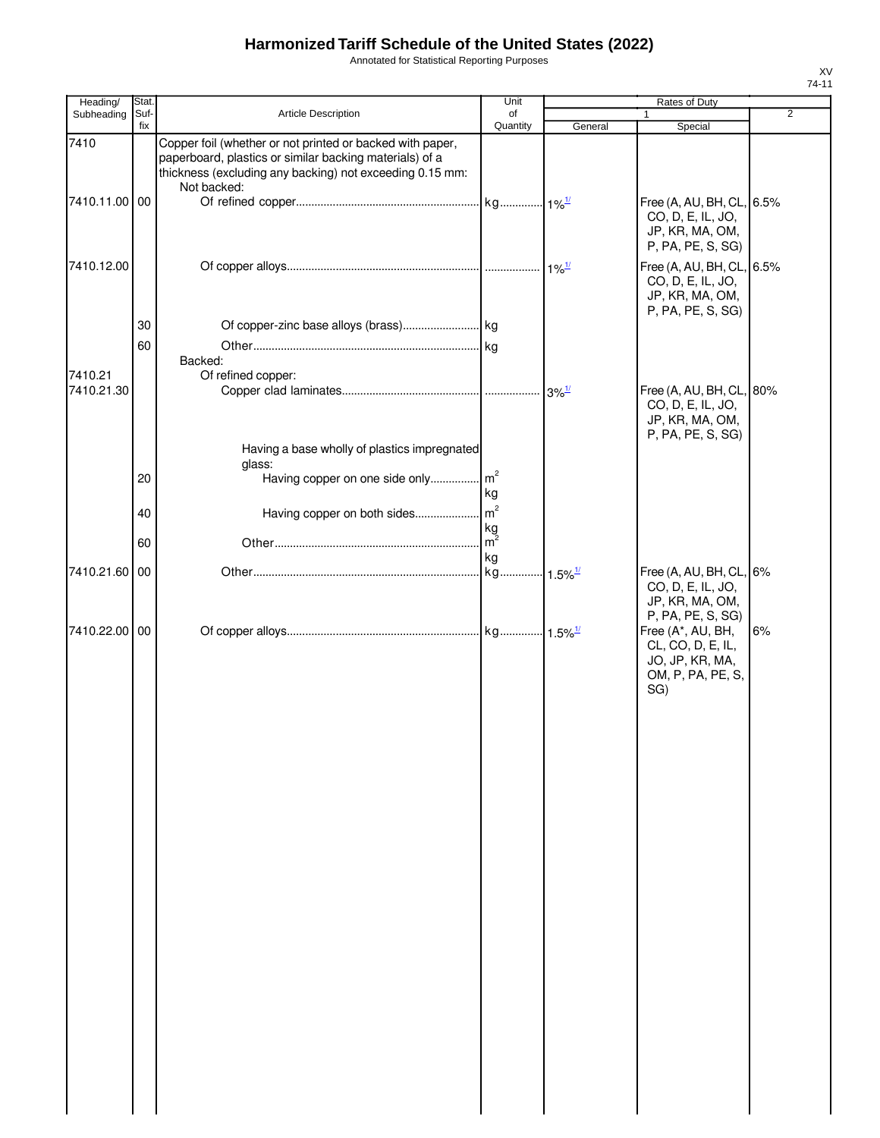Annotated for Statistical Reporting Purposes

| Heading/              | Stat.       |                                                                                                                                                                                                 | Unit                        |         | Rates of Duty                                                                                              |                |
|-----------------------|-------------|-------------------------------------------------------------------------------------------------------------------------------------------------------------------------------------------------|-----------------------------|---------|------------------------------------------------------------------------------------------------------------|----------------|
| Subheading            | Suf-<br>fix | Article Description                                                                                                                                                                             | of<br>Quantity              | General | Special                                                                                                    | $\overline{2}$ |
| 7410                  |             | Copper foil (whether or not printed or backed with paper,<br>paperboard, plastics or similar backing materials) of a<br>thickness (excluding any backing) not exceeding 0.15 mm:<br>Not backed: |                             |         |                                                                                                            |                |
| 7410.11.00 00         |             |                                                                                                                                                                                                 |                             |         | Free (A, AU, BH, CL, 6.5%<br>CO, D, E, IL, JO,<br>JP, KR, MA, OM,<br>P, PA, PE, S, SG)                     |                |
| 7410.12.00            |             |                                                                                                                                                                                                 |                             |         | Free (A, AU, BH, CL, 6.5%<br>CO, D, E, IL, JO,<br>JP, KR, MA, OM,<br>P, PA, PE, S, SG)                     |                |
|                       | 30          |                                                                                                                                                                                                 |                             |         |                                                                                                            |                |
| 7410.21<br>7410.21.30 | 60          | Backed:<br>Of refined copper:                                                                                                                                                                   |                             |         | Free (A, AU, BH, CL, 80%                                                                                   |                |
|                       |             |                                                                                                                                                                                                 |                             |         | CO, D, E, IL, JO,<br>JP, KR, MA, OM,<br>P, PA, PE, S, SG)                                                  |                |
|                       | 20          | Having a base wholly of plastics impregnated<br>glass:<br>Having copper on one side only m <sup>2</sup>                                                                                         | kg                          |         |                                                                                                            |                |
|                       | 40          |                                                                                                                                                                                                 |                             |         |                                                                                                            |                |
|                       | 60          |                                                                                                                                                                                                 | kg<br>$\mathsf{Im}^2$<br>kg |         |                                                                                                            |                |
| 7410.21.60 00         |             |                                                                                                                                                                                                 |                             |         | Free (A, AU, BH, CL, 6%<br>CO, D, E, IL, JO,<br>JP, KR, MA, OM,                                            |                |
| 7410.22.00 00         |             |                                                                                                                                                                                                 |                             |         | P, PA, PE, S, SG)<br>Free (A*, AU, BH,<br>CL, CO, D, E, IL,<br>JO, JP, KR, MA,<br>OM, P, PA, PE, S,<br>SG) | 6%             |
|                       |             |                                                                                                                                                                                                 |                             |         |                                                                                                            |                |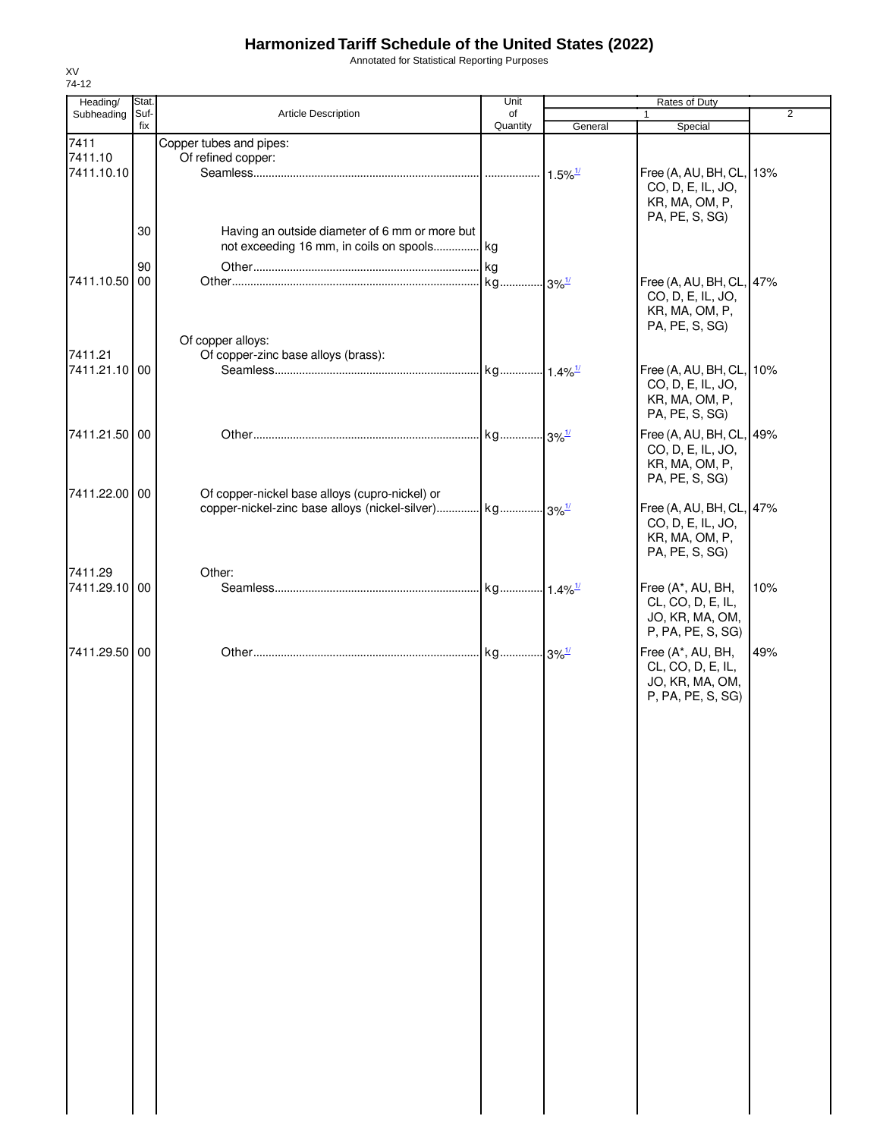Annotated for Statistical Reporting Purposes

| Heading/                      | Stat.       |                                                                                                                      | Unit           | Rates of Duty |                                                                                   |     |
|-------------------------------|-------------|----------------------------------------------------------------------------------------------------------------------|----------------|---------------|-----------------------------------------------------------------------------------|-----|
| Subheading                    | Suf-<br>fix | <b>Article Description</b>                                                                                           | of<br>Quantity | General       | $\mathbf{1}$<br>Special                                                           | 2   |
| 7411<br>7411.10<br>7411.10.10 |             | Copper tubes and pipes:<br>Of refined copper:                                                                        |                |               | Free (A, AU, BH, CL, 13%                                                          |     |
|                               | 30          | Having an outside diameter of 6 mm or more but                                                                       |                |               | CO, D, E, IL, JO,<br>KR, MA, OM, P,<br>PA, PE, S, SG)                             |     |
|                               | 90          | not exceeding 16 mm, in coils on spools kg                                                                           |                |               |                                                                                   |     |
| 7411.10.50 00                 |             | Of copper alloys:                                                                                                    |                |               | Free (A, AU, BH, CL, 47%<br>CO, D, E, IL, JO,<br>KR, MA, OM, P,<br>PA, PE, S, SG) |     |
| 7411.21<br>7411.21.10 00      |             | Of copper-zinc base alloys (brass):                                                                                  |                |               | Free (A, AU, BH, CL, 10%<br>CO, D, E, IL, JO,<br>KR, MA, OM, P,<br>PA, PE, S, SG) |     |
| 7411.21.50 00                 |             |                                                                                                                      |                |               | Free (A, AU, BH, CL, 49%<br>CO, D, E, IL, JO,<br>KR, MA, OM, P,<br>PA, PE, S, SG) |     |
| 7411.22.00 00                 |             | Of copper-nickel base alloys (cupro-nickel) or<br>copper-nickel-zinc base alloys (nickel-silver) kg 3% <sup>1/</sup> |                |               | Free (A, AU, BH, CL, 47%<br>CO, D, E, IL, JO,<br>KR, MA, OM, P,<br>PA, PE, S, SG) |     |
| 7411.29<br>7411.29.10 00      |             | Other:                                                                                                               |                |               | Free (A*, AU, BH,<br>CL, CO, D, E, IL,<br>JO, KR, MA, OM,<br>P, PA, PE, S, SG)    | 10% |
| 7411.29.50 00                 |             |                                                                                                                      |                |               | Free (A*, AU, BH,<br>CL, CO, D, E, IL,<br>JO, KR, MA, OM,<br>P, PA, PE, S, SG)    | 49% |
|                               |             |                                                                                                                      |                |               |                                                                                   |     |
|                               |             |                                                                                                                      |                |               |                                                                                   |     |
|                               |             |                                                                                                                      |                |               |                                                                                   |     |
|                               |             |                                                                                                                      |                |               |                                                                                   |     |
|                               |             |                                                                                                                      |                |               |                                                                                   |     |
|                               |             |                                                                                                                      |                |               |                                                                                   |     |
|                               |             |                                                                                                                      |                |               |                                                                                   |     |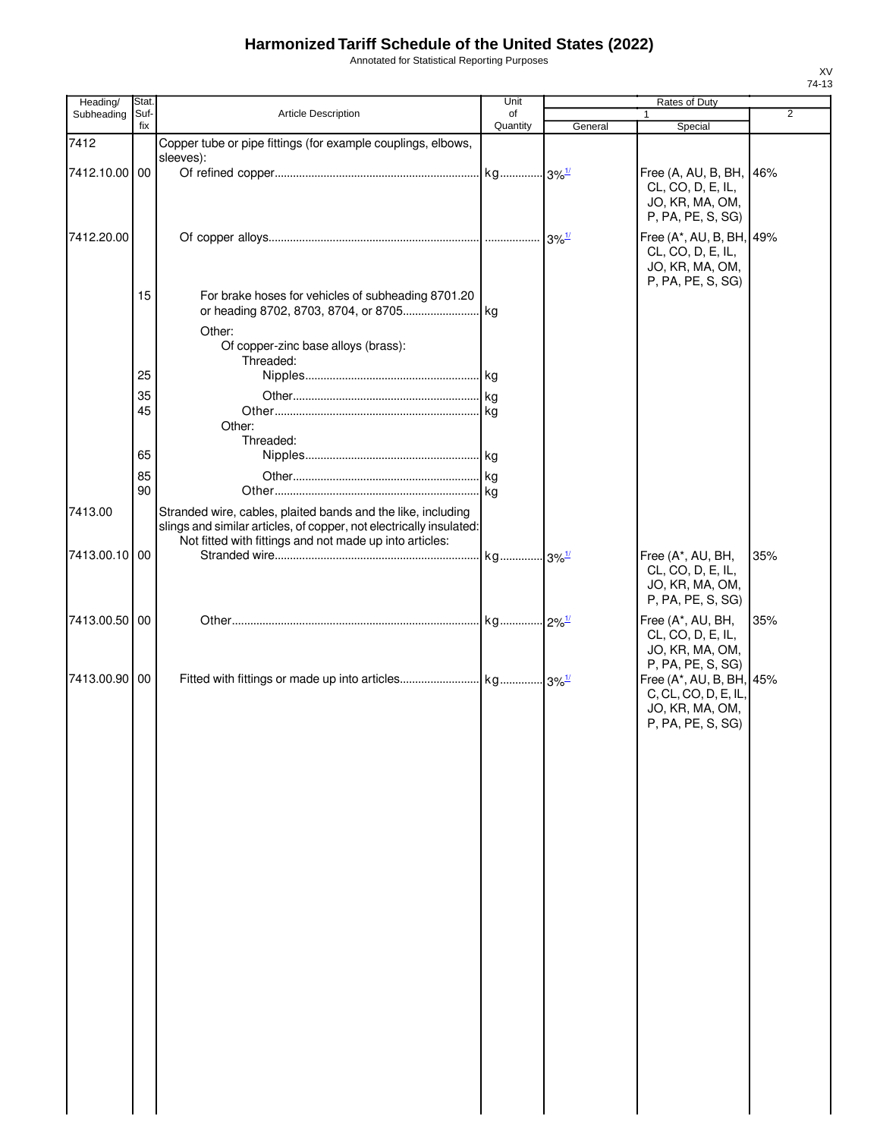Annotated for Statistical Reporting Purposes

| Heading/      | Stat.       |                                                                                                                                                                                                | Unit           |                       | Rates of Duty                                                                                                 |     |
|---------------|-------------|------------------------------------------------------------------------------------------------------------------------------------------------------------------------------------------------|----------------|-----------------------|---------------------------------------------------------------------------------------------------------------|-----|
| Subheading    | Suf-<br>fix | Article Description                                                                                                                                                                            | of<br>Quantity |                       |                                                                                                               | 2   |
| 7412          |             | Copper tube or pipe fittings (for example couplings, elbows,                                                                                                                                   |                | General               | Special                                                                                                       |     |
|               |             | sleeves):                                                                                                                                                                                      |                |                       |                                                                                                               |     |
| 7412.10.00 00 |             |                                                                                                                                                                                                |                | $.13\%$ <sup>1/</sup> | Free (A, AU, B, BH, 46%<br>CL, CO, D, E, IL,<br>JO, KR, MA, OM,<br>P, PA, PE, S, SG)                          |     |
| 7412.20.00    |             |                                                                                                                                                                                                |                | $3\%$ <sup>1/</sup>   | Free (A*, AU, B, BH, 49%<br>CL, CO, D, E, IL,<br>JO, KR, MA, OM,<br>P, PA, PE, S, SG)                         |     |
|               | 15          | For brake hoses for vehicles of subheading 8701.20<br>Other:                                                                                                                                   |                |                       |                                                                                                               |     |
|               |             | Of copper-zinc base alloys (brass):<br>Threaded:                                                                                                                                               |                |                       |                                                                                                               |     |
|               | 25          |                                                                                                                                                                                                |                |                       |                                                                                                               |     |
|               | 35          |                                                                                                                                                                                                |                |                       |                                                                                                               |     |
|               | 45          | Other:<br>Threaded:                                                                                                                                                                            |                |                       |                                                                                                               |     |
|               | 65          |                                                                                                                                                                                                |                |                       |                                                                                                               |     |
|               |             |                                                                                                                                                                                                |                |                       |                                                                                                               |     |
|               | 85<br>90    |                                                                                                                                                                                                |                |                       |                                                                                                               |     |
| 7413.00       |             | Stranded wire, cables, plaited bands and the like, including<br>slings and similar articles, of copper, not electrically insulated:<br>Not fitted with fittings and not made up into articles: |                |                       |                                                                                                               |     |
| 7413.00.10 00 |             |                                                                                                                                                                                                |                |                       | Free (A*, AU, BH,<br>CL, CO, D, E, IL,<br>JO, KR, MA, OM,<br>P, PA, PE, S, SG)                                | 35% |
| 7413.00.50 00 |             |                                                                                                                                                                                                |                |                       | Free (A*, AU, BH,<br>CL, CO, D, E, IL,<br>JO, KR, MA, OM,                                                     | 35% |
| 7413.00.90 00 |             |                                                                                                                                                                                                |                |                       | P, PA, PE, S, SG)<br>Free (A*, AU, B, BH, 45%<br>C, CL, CO, D, E, IL,<br>JO, KR, MA, OM,<br>P, PA, PE, S, SG) |     |
|               |             |                                                                                                                                                                                                |                |                       |                                                                                                               |     |
|               |             |                                                                                                                                                                                                |                |                       |                                                                                                               |     |
|               |             |                                                                                                                                                                                                |                |                       |                                                                                                               |     |
|               |             |                                                                                                                                                                                                |                |                       |                                                                                                               |     |
|               |             |                                                                                                                                                                                                |                |                       |                                                                                                               |     |
|               |             |                                                                                                                                                                                                |                |                       |                                                                                                               |     |
|               |             |                                                                                                                                                                                                |                |                       |                                                                                                               |     |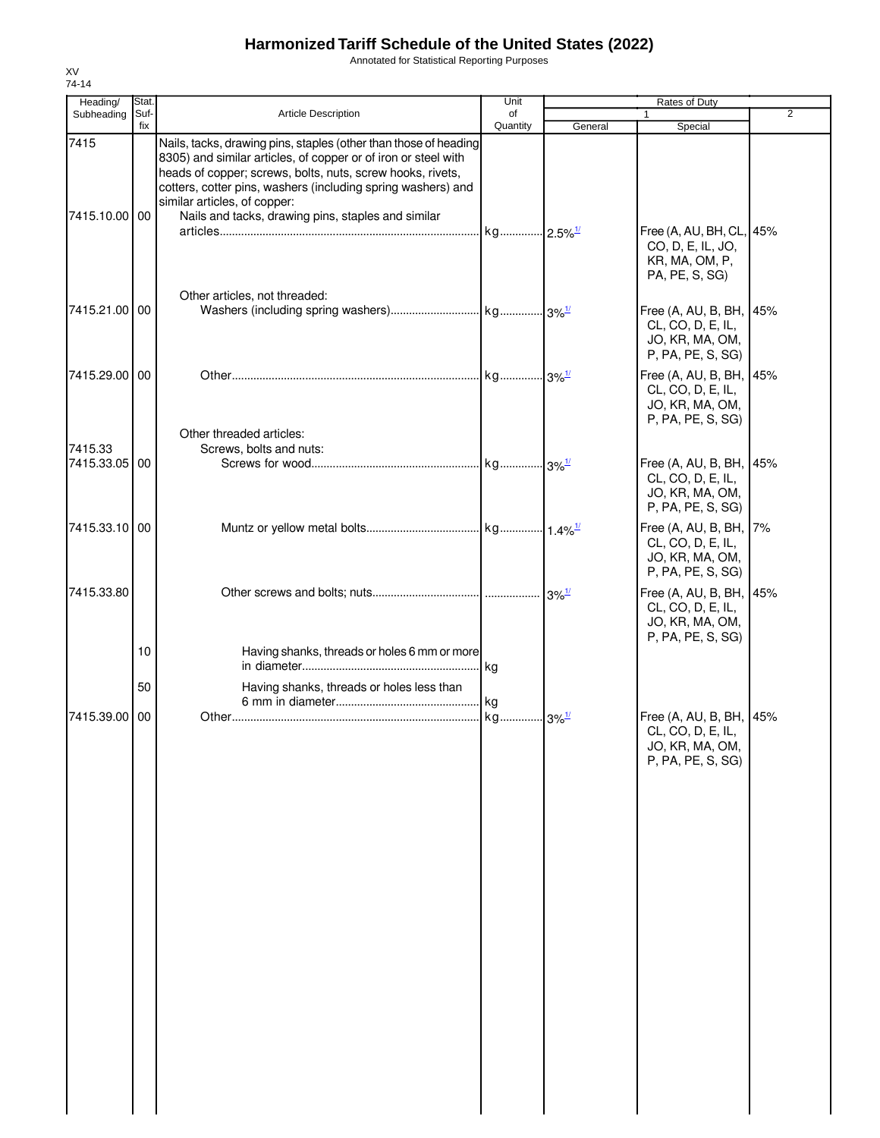Annotated for Statistical Reporting Purposes

| Heading/              | Stat.<br>Suf-<br>fix | <b>Article Description</b>                                                                                                                                                                                                                                                                                                                             | Unit                | Rates of Duty |                                                                                      |                |
|-----------------------|----------------------|--------------------------------------------------------------------------------------------------------------------------------------------------------------------------------------------------------------------------------------------------------------------------------------------------------------------------------------------------------|---------------------|---------------|--------------------------------------------------------------------------------------|----------------|
| Subheading            |                      |                                                                                                                                                                                                                                                                                                                                                        | of<br>Quantity      | General       | Special                                                                              | $\overline{2}$ |
| 7415<br>7415.10.00 00 |                      | Nails, tacks, drawing pins, staples (other than those of heading<br>8305) and similar articles, of copper or of iron or steel with<br>heads of copper; screws, bolts, nuts, screw hooks, rivets,<br>cotters, cotter pins, washers (including spring washers) and<br>similar articles, of copper:<br>Nails and tacks, drawing pins, staples and similar |                     |               |                                                                                      |                |
|                       |                      | Other articles, not threaded:                                                                                                                                                                                                                                                                                                                          |                     |               | Free (A, AU, BH, CL, 45%<br>CO, D, E, IL, JO,<br>KR, MA, OM, P,<br>PA, PE, S, SG)    |                |
| 7415.21.00 00         |                      |                                                                                                                                                                                                                                                                                                                                                        |                     |               | Free (A, AU, B, BH, 45%<br>CL, CO, D, E, IL,<br>JO, KR, MA, OM,<br>P, PA, PE, S, SG) |                |
| 7415.29.00 00         |                      | Other threaded articles:                                                                                                                                                                                                                                                                                                                               |                     |               | Free (A, AU, B, BH, 45%<br>CL, CO, D, E, IL,<br>JO, KR, MA, OM,<br>P, PA, PE, S, SG) |                |
| 7415.33               |                      | Screws, bolts and nuts:                                                                                                                                                                                                                                                                                                                                |                     |               |                                                                                      |                |
| 7415.33.05 00         |                      |                                                                                                                                                                                                                                                                                                                                                        |                     |               | Free (A, AU, B, BH, 45%<br>CL, CO, D, E, IL,<br>JO, KR, MA, OM,<br>P, PA, PE, S, SG) |                |
| 7415.33.10 00         |                      |                                                                                                                                                                                                                                                                                                                                                        |                     |               | Free (A, AU, B, BH, 7%<br>CL, CO, D, E, IL,<br>JO, KR, MA, OM,<br>P, PA, PE, S, SG)  |                |
| 7415.33.80            |                      |                                                                                                                                                                                                                                                                                                                                                        |                     |               | Free (A, AU, B, BH, 45%<br>CL, CO, D, E, IL,<br>JO, KR, MA, OM,<br>P, PA, PE, S, SG) |                |
|                       | 10                   | Having shanks, threads or holes 6 mm or more                                                                                                                                                                                                                                                                                                           | l kg                |               |                                                                                      |                |
|                       | 50                   | Having shanks, threads or holes less than                                                                                                                                                                                                                                                                                                              | kg                  |               |                                                                                      |                |
| 7415.39.00 00         |                      |                                                                                                                                                                                                                                                                                                                                                        | kg 3% <sup>1/</sup> |               | Free (A, AU, B, BH, 45%<br>CL, CO, D, E, IL,<br>JO, KR, MA, OM,<br>P, PA, PE, S, SG) |                |
|                       |                      |                                                                                                                                                                                                                                                                                                                                                        |                     |               |                                                                                      |                |
|                       |                      |                                                                                                                                                                                                                                                                                                                                                        |                     |               |                                                                                      |                |
|                       |                      |                                                                                                                                                                                                                                                                                                                                                        |                     |               |                                                                                      |                |
|                       |                      |                                                                                                                                                                                                                                                                                                                                                        |                     |               |                                                                                      |                |
|                       |                      |                                                                                                                                                                                                                                                                                                                                                        |                     |               |                                                                                      |                |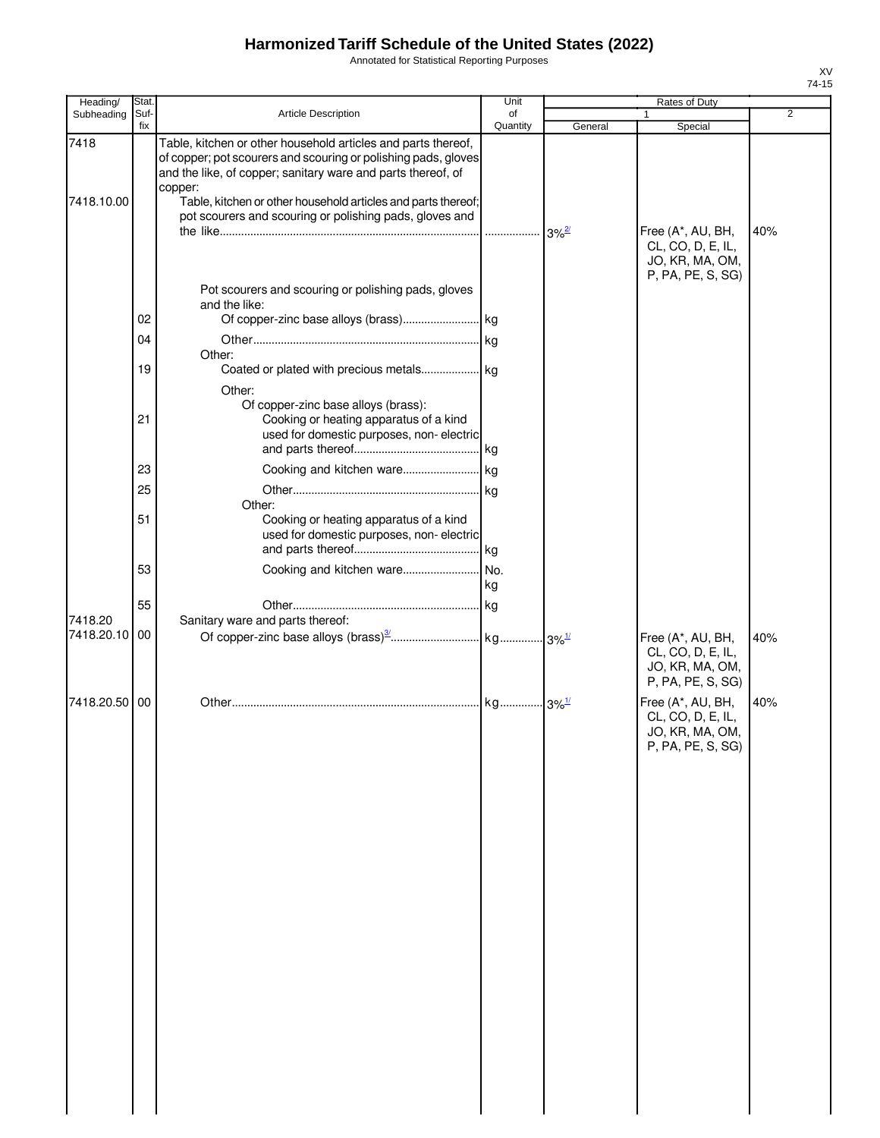Annotated for Statistical Reporting Purposes

| Heading/           | Stat.       |                                                                                                                                                                                                                                                                                                                                        | Unit                |         | Rates of Duty                                                                  |                |
|--------------------|-------------|----------------------------------------------------------------------------------------------------------------------------------------------------------------------------------------------------------------------------------------------------------------------------------------------------------------------------------------|---------------------|---------|--------------------------------------------------------------------------------|----------------|
| Subheading         | Suf-<br>fix | Article Description                                                                                                                                                                                                                                                                                                                    | of<br>Quantity      | General | Special                                                                        | $\overline{2}$ |
| 7418<br>7418.10.00 |             | Table, kitchen or other household articles and parts thereof,<br>of copper; pot scourers and scouring or polishing pads, gloves<br>and the like, of copper; sanitary ware and parts thereof, of<br>copper:<br>Table, kitchen or other household articles and parts thereof;<br>pot scourers and scouring or polishing pads, gloves and |                     |         |                                                                                |                |
|                    |             | Pot scourers and scouring or polishing pads, gloves                                                                                                                                                                                                                                                                                    |                     |         | Free (A*, AU, BH,<br>CL, CO, D, E, IL,<br>JO, KR, MA, OM,<br>P, PA, PE, S, SG) | 40%            |
|                    | 02          | and the like:                                                                                                                                                                                                                                                                                                                          |                     |         |                                                                                |                |
|                    | 04          | Other:                                                                                                                                                                                                                                                                                                                                 |                     |         |                                                                                |                |
|                    | 19          | Coated or plated with precious metals kg<br>Other:<br>Of copper-zinc base alloys (brass):                                                                                                                                                                                                                                              |                     |         |                                                                                |                |
|                    | 21          | Cooking or heating apparatus of a kind<br>used for domestic purposes, non-electric                                                                                                                                                                                                                                                     |                     |         |                                                                                |                |
|                    | 23          |                                                                                                                                                                                                                                                                                                                                        |                     |         |                                                                                |                |
|                    | 25          | Other:                                                                                                                                                                                                                                                                                                                                 |                     |         |                                                                                |                |
|                    | 51          | Cooking or heating apparatus of a kind<br>used for domestic purposes, non-electric                                                                                                                                                                                                                                                     |                     |         |                                                                                |                |
|                    | 53          | Cooking and kitchen ware                                                                                                                                                                                                                                                                                                               | No.<br>kg           |         |                                                                                |                |
|                    | 55          |                                                                                                                                                                                                                                                                                                                                        |                     |         |                                                                                |                |
| 7418.20            |             | Sanitary ware and parts thereof:                                                                                                                                                                                                                                                                                                       |                     |         |                                                                                |                |
| 7418.20.10 00      |             |                                                                                                                                                                                                                                                                                                                                        |                     |         | Free (A*, AU, BH,<br>CL, CO, D, E, IL,<br>JO, KR, MA, OM,<br>P, PA, PE, S, SG) | 40%            |
| 7418.20.50 00      |             |                                                                                                                                                                                                                                                                                                                                        | kg 3% <sup>1/</sup> |         | Free (A*, AU, BH,<br>CL, CO, D, E, IL,<br>JO, KR, MA, OM,<br>P, PA, PE, S, SG) | 40%            |
|                    |             |                                                                                                                                                                                                                                                                                                                                        |                     |         |                                                                                |                |
|                    |             |                                                                                                                                                                                                                                                                                                                                        |                     |         |                                                                                |                |
|                    |             |                                                                                                                                                                                                                                                                                                                                        |                     |         |                                                                                |                |
|                    |             |                                                                                                                                                                                                                                                                                                                                        |                     |         |                                                                                |                |
|                    |             |                                                                                                                                                                                                                                                                                                                                        |                     |         |                                                                                |                |
|                    |             |                                                                                                                                                                                                                                                                                                                                        |                     |         |                                                                                |                |
|                    |             |                                                                                                                                                                                                                                                                                                                                        |                     |         |                                                                                |                |
|                    |             |                                                                                                                                                                                                                                                                                                                                        |                     |         |                                                                                |                |
|                    |             |                                                                                                                                                                                                                                                                                                                                        |                     |         |                                                                                |                |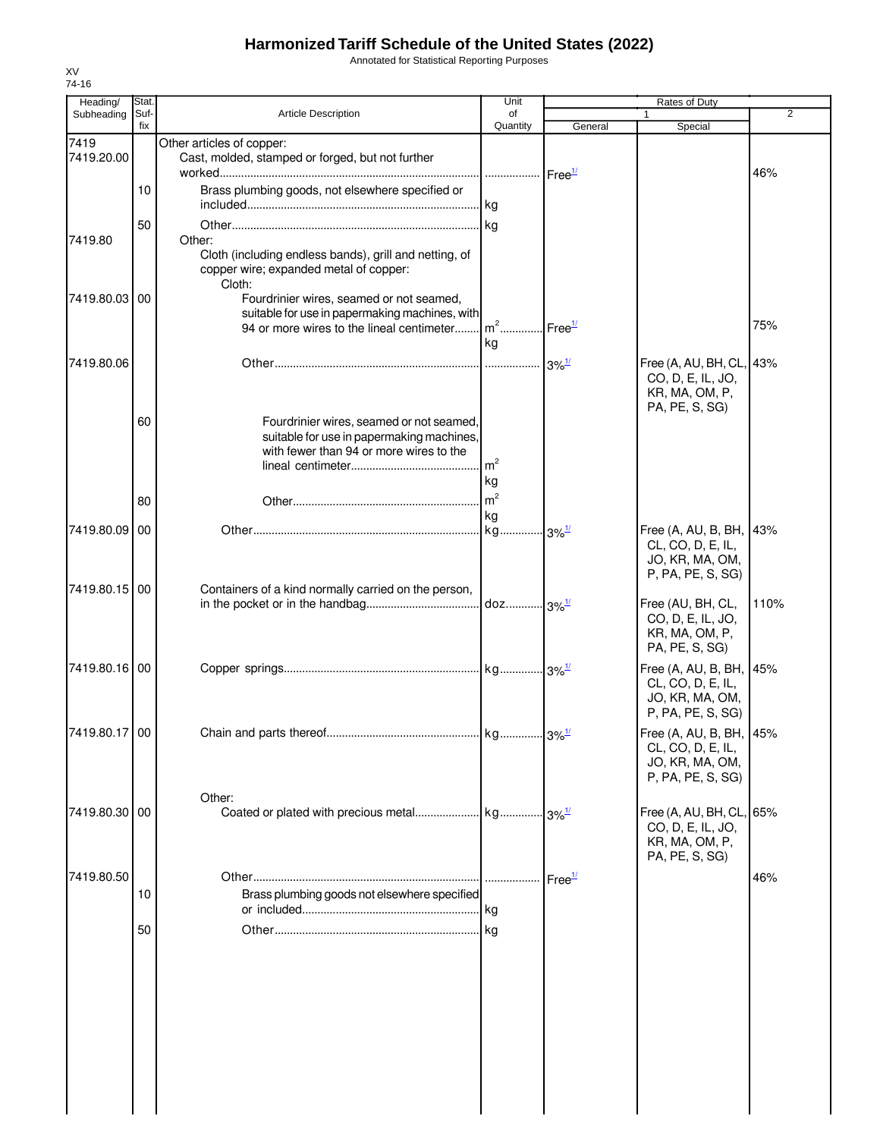Annotated for Statistical Reporting Purposes

| Heading/      | Stat.       |                                                                                                            | Unit                 |                                           |                                                                                      |                |
|---------------|-------------|------------------------------------------------------------------------------------------------------------|----------------------|-------------------------------------------|--------------------------------------------------------------------------------------|----------------|
| Subheading    | Suf-<br>fix | <b>Article Description</b>                                                                                 | of<br>Quantity       | General                                   | Special                                                                              | $\overline{2}$ |
| 7419          |             | Other articles of copper:                                                                                  |                      |                                           |                                                                                      |                |
| 7419.20.00    |             | Cast, molded, stamped or forged, but not further                                                           | .                    | Free <sup>1/</sup>                        |                                                                                      | 46%            |
|               | 10          | Brass plumbing goods, not elsewhere specified or                                                           |                      |                                           |                                                                                      |                |
|               | 50          |                                                                                                            | kg                   |                                           |                                                                                      |                |
| 7419.80       |             | Other:                                                                                                     |                      |                                           |                                                                                      |                |
|               |             | Cloth (including endless bands), grill and netting, of<br>copper wire; expanded metal of copper:<br>Cloth: |                      |                                           |                                                                                      |                |
| 7419.80.03 00 |             | Fourdrinier wires, seamed or not seamed,<br>suitable for use in papermaking machines, with                 |                      |                                           |                                                                                      |                |
|               |             | 94 or more wires to the lineal centimeter                                                                  | $m2$ .<br>kg         | Free <sup>1/</sup>                        |                                                                                      | 75%            |
| 7419.80.06    |             |                                                                                                            | .                    | $3\%$ <sup><math>\frac{1}{2}</math></sup> | Free (A, AU, BH, CL, 43%                                                             |                |
|               |             |                                                                                                            |                      |                                           | CO, D, E, IL, JO,<br>KR, MA, OM, P,<br>PA, PE, S, SG)                                |                |
|               | 60          | Fourdrinier wires, seamed or not seamed,<br>suitable for use in papermaking machines,                      |                      |                                           |                                                                                      |                |
|               |             | with fewer than 94 or more wires to the                                                                    |                      |                                           |                                                                                      |                |
|               |             |                                                                                                            | m <sup>2</sup>       |                                           |                                                                                      |                |
|               |             |                                                                                                            | kg<br>m <sup>2</sup> |                                           |                                                                                      |                |
|               | 80          |                                                                                                            | kg                   |                                           |                                                                                      |                |
| 7419.80.09 00 |             |                                                                                                            |                      | $3\%$ <sup>1/</sup>                       | Free (A, AU, B, BH, 43%                                                              |                |
|               |             |                                                                                                            |                      |                                           | CL, CO, D, E, IL,<br>JO, KR, MA, OM,<br>P, PA, PE, S, SG)                            |                |
| 7419.80.15 00 |             | Containers of a kind normally carried on the person,                                                       |                      | $3\%$ <sup>1/</sup>                       | Free (AU, BH, CL,<br>CO, D, E, IL, JO,<br>KR, MA, OM, P,                             | 110%           |
|               |             |                                                                                                            |                      |                                           | PA, PE, S, SG)                                                                       |                |
| 7419.80.16 00 |             |                                                                                                            |                      |                                           | Free (A, AU, B, BH, 45%<br>CL, CO, D, E, IL,<br>JO, KR, MA, OM,<br>P, PA, PE, S, SG) |                |
| 7419.80.17 00 |             |                                                                                                            |                      |                                           | Free (A, AU, B, BH, 45%                                                              |                |
|               |             |                                                                                                            |                      |                                           | CL, CO, D, E, IL,<br>JO, KR, MA, OM,<br>P, PA, PE, S, SG)                            |                |
|               |             | Other:                                                                                                     |                      |                                           |                                                                                      |                |
| 7419.80.30 00 |             |                                                                                                            |                      |                                           | Free (A, AU, BH, CL, 65%<br>CO, D, E, IL, JO,<br>KR, MA, OM, P,<br>PA, PE, S, SG)    |                |
| 7419.80.50    |             |                                                                                                            | .                    | Free <sup>1/</sup>                        |                                                                                      | 46%            |
|               | 10          | Brass plumbing goods not elsewhere specified                                                               |                      |                                           |                                                                                      |                |
|               | 50          |                                                                                                            |                      |                                           |                                                                                      |                |
|               |             |                                                                                                            |                      |                                           |                                                                                      |                |
|               |             |                                                                                                            |                      |                                           |                                                                                      |                |
|               |             |                                                                                                            |                      |                                           |                                                                                      |                |
|               |             |                                                                                                            |                      |                                           |                                                                                      |                |
|               |             |                                                                                                            |                      |                                           |                                                                                      |                |
|               |             |                                                                                                            |                      |                                           |                                                                                      |                |
|               |             |                                                                                                            |                      |                                           |                                                                                      |                |
|               |             |                                                                                                            |                      |                                           |                                                                                      |                |
|               |             |                                                                                                            |                      |                                           |                                                                                      |                |
|               |             |                                                                                                            |                      |                                           |                                                                                      |                |